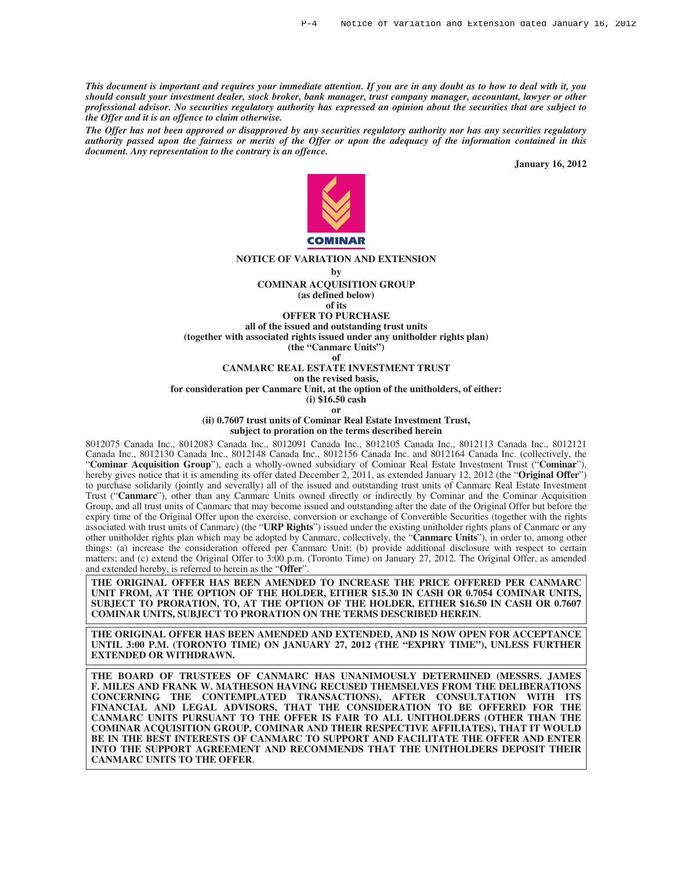*This document is important and requires your immediate attention. If you are in any doubt as to how to deal with it, you should consult your investment dealer, stock broker, bank manager, trust company manager, accountant, lawyer or other professional advisor. No securities regulatory authority has expressed an opinion about the securities that are subject to the Offer and it is an offence to claim otherwise.*

*The Offer has not been approved or disapproved by any securities regulatory authority nor has any securities regulatory authority passed upon the fairness or merits of the Offer or upon the adequacy of the information contained in this document. Any representation to the contrary is an offence.*

**January 16, 2012**



#### **NOTICE OF VARIATION AND EXTENSION**

**by**

**COMINAR ACQUISITION GROUP**

**(as defined below) of its**

**OFFER TO PURCHASE**

**all of the issued and outstanding trust units**

**(together with associated rights issued under any unitholder rights plan)**

**(the "Canmarc Units")**

**of**

**CANMARC REAL ESTATE INVESTMENT TRUST**

**on the revised basis,**

**for consideration per Canmarc Unit, at the option of the unitholders, of either:**

**(i) \$16.50 cash or**

**(ii) 0.7607 trust units of Cominar Real Estate Investment Trust,**

**subject to proration on the terms described herein**

8012075 Canada Inc., 8012083 Canada Inc., 8012091 Canada Inc., 8012105 Canada Inc., 8012113 Canada Inc., 8012121 Canada Inc., 8012130 Canada Inc., 8012148 Canada Inc., 8012156 Canada Inc. and 8012164 Canada Inc. (collectively, the "**Cominar Acquisition Group**"), each a wholly-owned subsidiary of Cominar Real Estate Investment Trust ("**Cominar**"), hereby gives notice that it is amending its offer dated December 2, 2011, as extended January 12, 2012 (the "**Original Offer**") to purchase solidarily (jointly and severally) all of the issued and outstanding trust units of Canmarc Real Estate Investment Trust ("**Canmarc**"), other than any Canmarc Units owned directly or indirectly by Cominar and the Cominar Acquisition Group, and all trust units of Canmarc that may become issued and outstanding after the date of the Original Offer but before the expiry time of the Original Offer upon the exercise, conversion or exchange of Convertible Securities (together with the rights associated with trust units of Canmarc) (the "**URP Rights**") issued under the existing unitholder rights plans of Canmarc or any other unitholder rights plan which may be adopted by Canmarc, collectively, the "**Canmarc Units**"), in order to, among other things: (a) increase the consideration offered per Canmarc Unit; (b) provide additional disclosure with respect to certain matters; and (c) extend the Original Offer to 3:00 p.m. (Toronto Time) on January 27, 2012. The Original Offer, as amended and extended hereby, is referred to herein as the "**Offer**".

**THE ORIGINAL OFFER HAS BEEN AMENDED TO INCREASE THE PRICE OFFERED PER CANMARC UNIT FROM, AT THE OPTION OF THE HOLDER, EITHER \$15.30 IN CASH OR 0.7054 COMINAR UNITS, SUBJECT TO PRORATION, TO, AT THE OPTION OF THE HOLDER, EITHER \$16.50 IN CASH OR 0.7607 COMINAR UNITS, SUBJECT TO PRORATION ON THE TERMS DESCRIBED HEREIN**.

**THE ORIGINAL OFFER HAS BEEN AMENDED AND EXTENDED, AND IS NOW OPEN FOR ACCEPTANCE UNTIL 3:00 P.M. (TORONTO TIME) ON JANUARY 27, 2012 (THE "EXPIRY TIME"), UNLESS FURTHER EXTENDED OR WITHDRAWN.**

**THE BOARD OF TRUSTEES OF CANMARC HAS UNANIMOUSLY DETERMINED (MESSRS. JAMES F. MILES AND FRANK W. MATHESON HAVING RECUSED THEMSELVES FROM THE DELIBERATIONS CONCERNING THE CONTEMPLATED TRANSACTIONS), AFTER CONSULTATION WITH ITS FINANCIAL AND LEGAL ADVISORS, THAT THE CONSIDERATION TO BE OFFERED FOR THE CANMARC UNITS PURSUANT TO THE OFFER IS FAIR TO ALL UNITHOLDERS (OTHER THAN THE COMINAR ACQUISITION GROUP, COMINAR AND THEIR RESPECTIVE AFFILIATES), THAT IT WOULD BE IN THE BEST INTERESTS OF CANMARC TO SUPPORT AND FACILITATE THE OFFER AND ENTER INTO THE SUPPORT AGREEMENT AND RECOMMENDS THAT THE UNITHOLDERS DEPOSIT THEIR CANMARC UNITS TO THE OFFER**.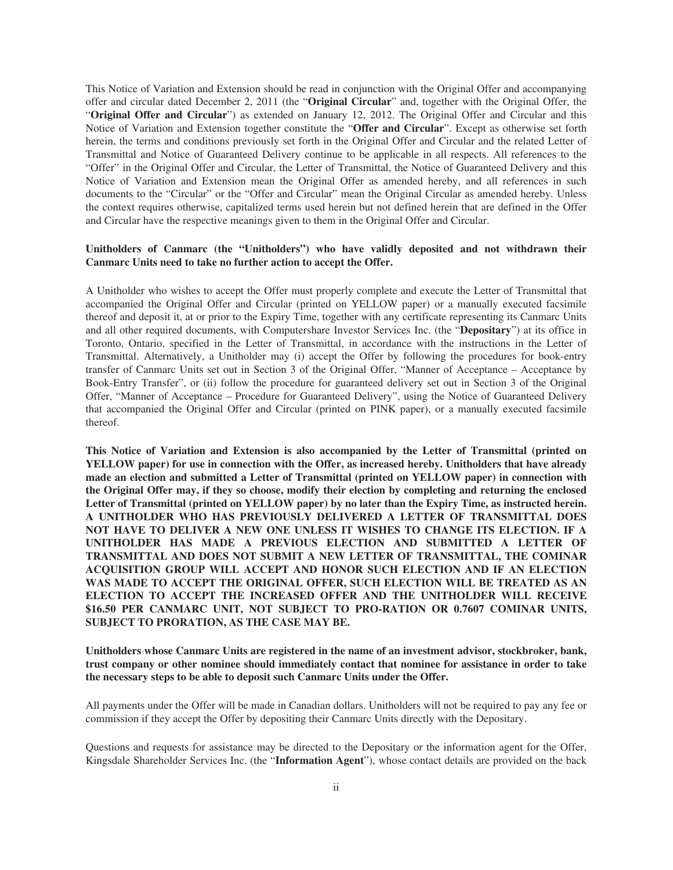This Notice of Variation and Extension should be read in conjunction with the Original Offer and accompanying offer and circular dated December 2, 2011 (the "**Original Circular**" and, together with the Original Offer, the "**Original Offer and Circular**") as extended on January 12, 2012. The Original Offer and Circular and this Notice of Variation and Extension together constitute the "**Offer and Circular**". Except as otherwise set forth herein, the terms and conditions previously set forth in the Original Offer and Circular and the related Letter of Transmittal and Notice of Guaranteed Delivery continue to be applicable in all respects. All references to the "Offer" in the Original Offer and Circular, the Letter of Transmittal, the Notice of Guaranteed Delivery and this Notice of Variation and Extension mean the Original Offer as amended hereby, and all references in such documents to the "Circular" or the "Offer and Circular" mean the Original Circular as amended hereby. Unless the context requires otherwise, capitalized terms used herein but not defined herein that are defined in the Offer and Circular have the respective meanings given to them in the Original Offer and Circular.

# **Unitholders of Canmarc (the "Unitholders") who have validly deposited and not withdrawn their Canmarc Units need to take no further action to accept the Offer.**

A Unitholder who wishes to accept the Offer must properly complete and execute the Letter of Transmittal that accompanied the Original Offer and Circular (printed on YELLOW paper) or a manually executed facsimile thereof and deposit it, at or prior to the Expiry Time, together with any certificate representing its Canmarc Units and all other required documents, with Computershare Investor Services Inc. (the "**Depositary**") at its office in Toronto, Ontario, specified in the Letter of Transmittal, in accordance with the instructions in the Letter of Transmittal. Alternatively, a Unitholder may (i) accept the Offer by following the procedures for book-entry transfer of Canmarc Units set out in Section 3 of the Original Offer, "Manner of Acceptance – Acceptance by Book-Entry Transfer", or (ii) follow the procedure for guaranteed delivery set out in Section 3 of the Original Offer, "Manner of Acceptance – Procedure for Guaranteed Delivery", using the Notice of Guaranteed Delivery that accompanied the Original Offer and Circular (printed on PINK paper), or a manually executed facsimile thereof.

**This Notice of Variation and Extension is also accompanied by the Letter of Transmittal (printed on YELLOW paper) for use in connection with the Offer, as increased hereby. Unitholders that have already made an election and submitted a Letter of Transmittal (printed on YELLOW paper) in connection with the Original Offer may, if they so choose, modify their election by completing and returning the enclosed Letter of Transmittal (printed on YELLOW paper) by no later than the Expiry Time, as instructed herein. A UNITHOLDER WHO HAS PREVIOUSLY DELIVERED A LETTER OF TRANSMITTAL DOES NOT HAVE TO DELIVER A NEW ONE UNLESS IT WISHES TO CHANGE ITS ELECTION. IF A UNITHOLDER HAS MADE A PREVIOUS ELECTION AND SUBMITTED A LETTER OF TRANSMITTAL AND DOES NOT SUBMIT A NEW LETTER OF TRANSMITTAL, THE COMINAR ACQUISITION GROUP WILL ACCEPT AND HONOR SUCH ELECTION AND IF AN ELECTION WAS MADE TO ACCEPT THE ORIGINAL OFFER, SUCH ELECTION WILL BE TREATED AS AN ELECTION TO ACCEPT THE INCREASED OFFER AND THE UNITHOLDER WILL RECEIVE \$16.50 PER CANMARC UNIT, NOT SUBJECT TO PRO-RATION OR 0.7607 COMINAR UNITS, SUBJECT TO PRORATION, AS THE CASE MAY BE.**

**Unitholders whose Canmarc Units are registered in the name of an investment advisor, stockbroker, bank, trust company or other nominee should immediately contact that nominee for assistance in order to take the necessary steps to be able to deposit such Canmarc Units under the Offer.**

All payments under the Offer will be made in Canadian dollars. Unitholders will not be required to pay any fee or commission if they accept the Offer by depositing their Canmarc Units directly with the Depositary.

Questions and requests for assistance may be directed to the Depositary or the information agent for the Offer, Kingsdale Shareholder Services Inc. (the "**Information Agent**"), whose contact details are provided on the back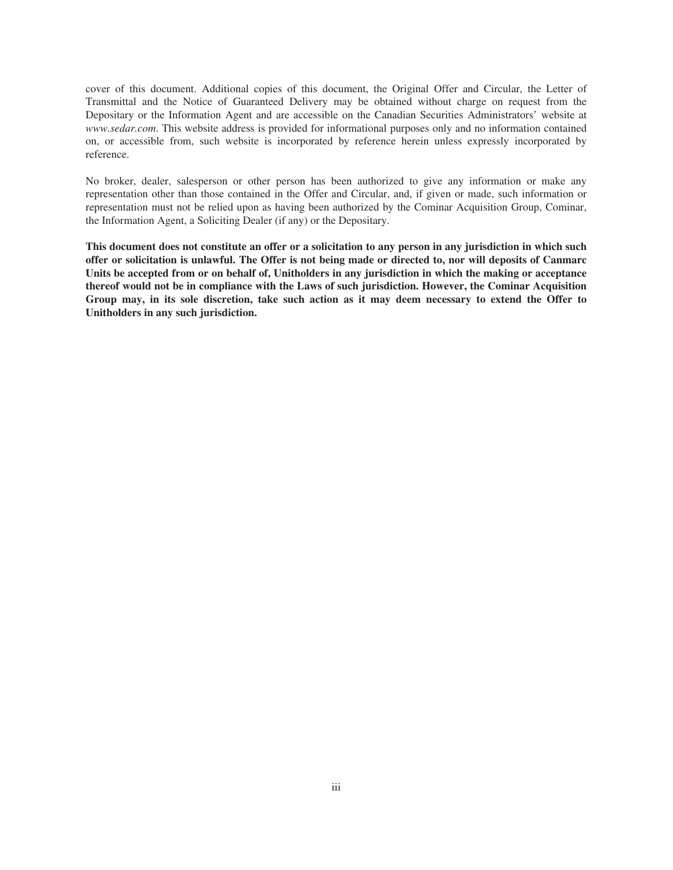cover of this document. Additional copies of this document, the Original Offer and Circular, the Letter of Transmittal and the Notice of Guaranteed Delivery may be obtained without charge on request from the Depositary or the Information Agent and are accessible on the Canadian Securities Administrators' website at *www.sedar.com*. This website address is provided for informational purposes only and no information contained on, or accessible from, such website is incorporated by reference herein unless expressly incorporated by reference.

No broker, dealer, salesperson or other person has been authorized to give any information or make any representation other than those contained in the Offer and Circular, and, if given or made, such information or representation must not be relied upon as having been authorized by the Cominar Acquisition Group, Cominar, the Information Agent, a Soliciting Dealer (if any) or the Depositary.

**This document does not constitute an offer or a solicitation to any person in any jurisdiction in which such offer or solicitation is unlawful. The Offer is not being made or directed to, nor will deposits of Canmarc Units be accepted from or on behalf of, Unitholders in any jurisdiction in which the making or acceptance thereof would not be in compliance with the Laws of such jurisdiction. However, the Cominar Acquisition Group may, in its sole discretion, take such action as it may deem necessary to extend the Offer to Unitholders in any such jurisdiction.**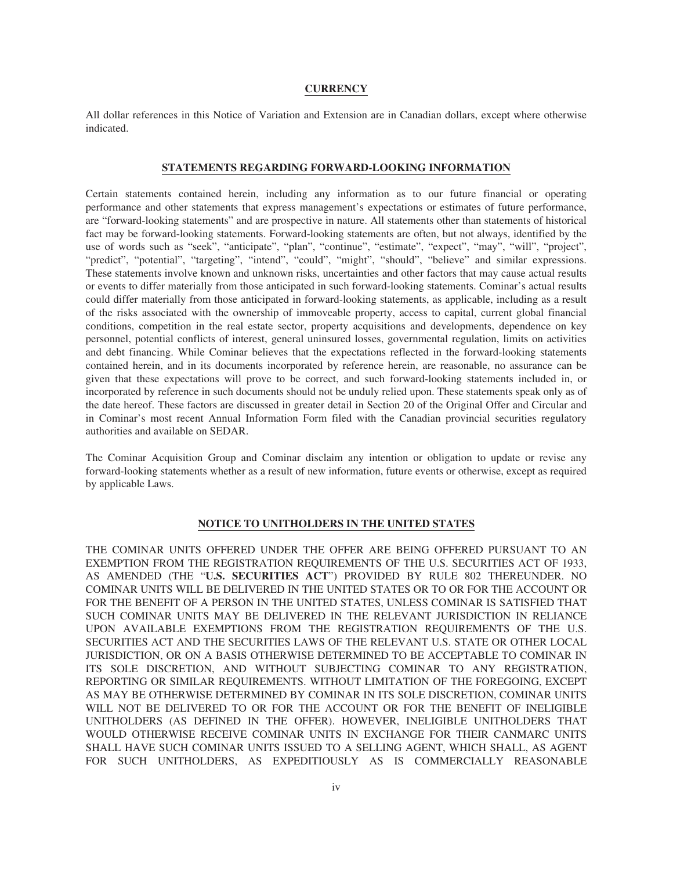# **CURRENCY**

All dollar references in this Notice of Variation and Extension are in Canadian dollars, except where otherwise indicated.

### **STATEMENTS REGARDING FORWARD-LOOKING INFORMATION**

Certain statements contained herein, including any information as to our future financial or operating performance and other statements that express management's expectations or estimates of future performance, are "forward-looking statements" and are prospective in nature. All statements other than statements of historical fact may be forward-looking statements. Forward-looking statements are often, but not always, identified by the use of words such as "seek", "anticipate", "plan", "continue", "estimate", "expect", "may", "will", "project", "predict", "potential", "targeting", "intend", "could", "might", "should", "believe" and similar expressions. These statements involve known and unknown risks, uncertainties and other factors that may cause actual results or events to differ materially from those anticipated in such forward-looking statements. Cominar's actual results could differ materially from those anticipated in forward-looking statements, as applicable, including as a result of the risks associated with the ownership of immoveable property, access to capital, current global financial conditions, competition in the real estate sector, property acquisitions and developments, dependence on key personnel, potential conflicts of interest, general uninsured losses, governmental regulation, limits on activities and debt financing. While Cominar believes that the expectations reflected in the forward-looking statements contained herein, and in its documents incorporated by reference herein, are reasonable, no assurance can be given that these expectations will prove to be correct, and such forward-looking statements included in, or incorporated by reference in such documents should not be unduly relied upon. These statements speak only as of the date hereof. These factors are discussed in greater detail in Section 20 of the Original Offer and Circular and in Cominar's most recent Annual Information Form filed with the Canadian provincial securities regulatory authorities and available on SEDAR.

The Cominar Acquisition Group and Cominar disclaim any intention or obligation to update or revise any forward-looking statements whether as a result of new information, future events or otherwise, except as required by applicable Laws.

# **NOTICE TO UNITHOLDERS IN THE UNITED STATES**

THE COMINAR UNITS OFFERED UNDER THE OFFER ARE BEING OFFERED PURSUANT TO AN EXEMPTION FROM THE REGISTRATION REQUIREMENTS OF THE U.S. SECURITIES ACT OF 1933, AS AMENDED (THE "**U.S. SECURITIES ACT**") PROVIDED BY RULE 802 THEREUNDER. NO COMINAR UNITS WILL BE DELIVERED IN THE UNITED STATES OR TO OR FOR THE ACCOUNT OR FOR THE BENEFIT OF A PERSON IN THE UNITED STATES, UNLESS COMINAR IS SATISFIED THAT SUCH COMINAR UNITS MAY BE DELIVERED IN THE RELEVANT JURISDICTION IN RELIANCE UPON AVAILABLE EXEMPTIONS FROM THE REGISTRATION REQUIREMENTS OF THE U.S. SECURITIES ACT AND THE SECURITIES LAWS OF THE RELEVANT U.S. STATE OR OTHER LOCAL JURISDICTION, OR ON A BASIS OTHERWISE DETERMINED TO BE ACCEPTABLE TO COMINAR IN ITS SOLE DISCRETION, AND WITHOUT SUBJECTING COMINAR TO ANY REGISTRATION, REPORTING OR SIMILAR REQUIREMENTS. WITHOUT LIMITATION OF THE FOREGOING, EXCEPT AS MAY BE OTHERWISE DETERMINED BY COMINAR IN ITS SOLE DISCRETION, COMINAR UNITS WILL NOT BE DELIVERED TO OR FOR THE ACCOUNT OR FOR THE BENEFIT OF INELIGIBLE UNITHOLDERS (AS DEFINED IN THE OFFER). HOWEVER, INELIGIBLE UNITHOLDERS THAT WOULD OTHERWISE RECEIVE COMINAR UNITS IN EXCHANGE FOR THEIR CANMARC UNITS SHALL HAVE SUCH COMINAR UNITS ISSUED TO A SELLING AGENT, WHICH SHALL, AS AGENT FOR SUCH UNITHOLDERS, AS EXPEDITIOUSLY AS IS COMMERCIALLY REASONABLE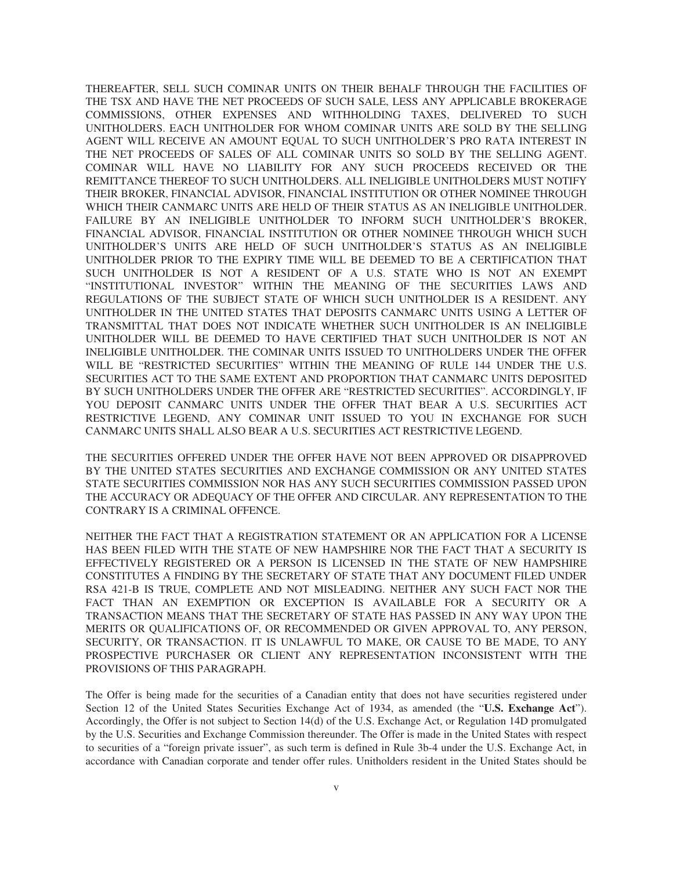THEREAFTER, SELL SUCH COMINAR UNITS ON THEIR BEHALF THROUGH THE FACILITIES OF THE TSX AND HAVE THE NET PROCEEDS OF SUCH SALE, LESS ANY APPLICABLE BROKERAGE COMMISSIONS, OTHER EXPENSES AND WITHHOLDING TAXES, DELIVERED TO SUCH UNITHOLDERS. EACH UNITHOLDER FOR WHOM COMINAR UNITS ARE SOLD BY THE SELLING AGENT WILL RECEIVE AN AMOUNT EQUAL TO SUCH UNITHOLDER'S PRO RATA INTEREST IN THE NET PROCEEDS OF SALES OF ALL COMINAR UNITS SO SOLD BY THE SELLING AGENT. COMINAR WILL HAVE NO LIABILITY FOR ANY SUCH PROCEEDS RECEIVED OR THE REMITTANCE THEREOF TO SUCH UNITHOLDERS. ALL INELIGIBLE UNITHOLDERS MUST NOTIFY THEIR BROKER, FINANCIAL ADVISOR, FINANCIAL INSTITUTION OR OTHER NOMINEE THROUGH WHICH THEIR CANMARC UNITS ARE HELD OF THEIR STATUS AS AN INELIGIBLE UNITHOLDER. FAILURE BY AN INELIGIBLE UNITHOLDER TO INFORM SUCH UNITHOLDER'S BROKER, FINANCIAL ADVISOR, FINANCIAL INSTITUTION OR OTHER NOMINEE THROUGH WHICH SUCH UNITHOLDER'S UNITS ARE HELD OF SUCH UNITHOLDER'S STATUS AS AN INELIGIBLE UNITHOLDER PRIOR TO THE EXPIRY TIME WILL BE DEEMED TO BE A CERTIFICATION THAT SUCH UNITHOLDER IS NOT A RESIDENT OF A U.S. STATE WHO IS NOT AN EXEMPT "INSTITUTIONAL INVESTOR" WITHIN THE MEANING OF THE SECURITIES LAWS AND REGULATIONS OF THE SUBJECT STATE OF WHICH SUCH UNITHOLDER IS A RESIDENT. ANY UNITHOLDER IN THE UNITED STATES THAT DEPOSITS CANMARC UNITS USING A LETTER OF TRANSMITTAL THAT DOES NOT INDICATE WHETHER SUCH UNITHOLDER IS AN INELIGIBLE UNITHOLDER WILL BE DEEMED TO HAVE CERTIFIED THAT SUCH UNITHOLDER IS NOT AN INELIGIBLE UNITHOLDER. THE COMINAR UNITS ISSUED TO UNITHOLDERS UNDER THE OFFER WILL BE "RESTRICTED SECURITIES" WITHIN THE MEANING OF RULE 144 UNDER THE U.S. SECURITIES ACT TO THE SAME EXTENT AND PROPORTION THAT CANMARC UNITS DEPOSITED BY SUCH UNITHOLDERS UNDER THE OFFER ARE "RESTRICTED SECURITIES". ACCORDINGLY, IF YOU DEPOSIT CANMARC UNITS UNDER THE OFFER THAT BEAR A U.S. SECURITIES ACT RESTRICTIVE LEGEND, ANY COMINAR UNIT ISSUED TO YOU IN EXCHANGE FOR SUCH CANMARC UNITS SHALL ALSO BEAR A U.S. SECURITIES ACT RESTRICTIVE LEGEND.

THE SECURITIES OFFERED UNDER THE OFFER HAVE NOT BEEN APPROVED OR DISAPPROVED BY THE UNITED STATES SECURITIES AND EXCHANGE COMMISSION OR ANY UNITED STATES STATE SECURITIES COMMISSION NOR HAS ANY SUCH SECURITIES COMMISSION PASSED UPON THE ACCURACY OR ADEQUACY OF THE OFFER AND CIRCULAR. ANY REPRESENTATION TO THE CONTRARY IS A CRIMINAL OFFENCE.

NEITHER THE FACT THAT A REGISTRATION STATEMENT OR AN APPLICATION FOR A LICENSE HAS BEEN FILED WITH THE STATE OF NEW HAMPSHIRE NOR THE FACT THAT A SECURITY IS EFFECTIVELY REGISTERED OR A PERSON IS LICENSED IN THE STATE OF NEW HAMPSHIRE CONSTITUTES A FINDING BY THE SECRETARY OF STATE THAT ANY DOCUMENT FILED UNDER RSA 421-B IS TRUE, COMPLETE AND NOT MISLEADING. NEITHER ANY SUCH FACT NOR THE FACT THAN AN EXEMPTION OR EXCEPTION IS AVAILABLE FOR A SECURITY OR A TRANSACTION MEANS THAT THE SECRETARY OF STATE HAS PASSED IN ANY WAY UPON THE MERITS OR QUALIFICATIONS OF, OR RECOMMENDED OR GIVEN APPROVAL TO, ANY PERSON, SECURITY, OR TRANSACTION. IT IS UNLAWFUL TO MAKE, OR CAUSE TO BE MADE, TO ANY PROSPECTIVE PURCHASER OR CLIENT ANY REPRESENTATION INCONSISTENT WITH THE PROVISIONS OF THIS PARAGRAPH.

The Offer is being made for the securities of a Canadian entity that does not have securities registered under Section 12 of the United States Securities Exchange Act of 1934, as amended (the "**U.S. Exchange Act**"). Accordingly, the Offer is not subject to Section 14(d) of the U.S. Exchange Act, or Regulation 14D promulgated by the U.S. Securities and Exchange Commission thereunder. The Offer is made in the United States with respect to securities of a "foreign private issuer", as such term is defined in Rule 3b-4 under the U.S. Exchange Act, in accordance with Canadian corporate and tender offer rules. Unitholders resident in the United States should be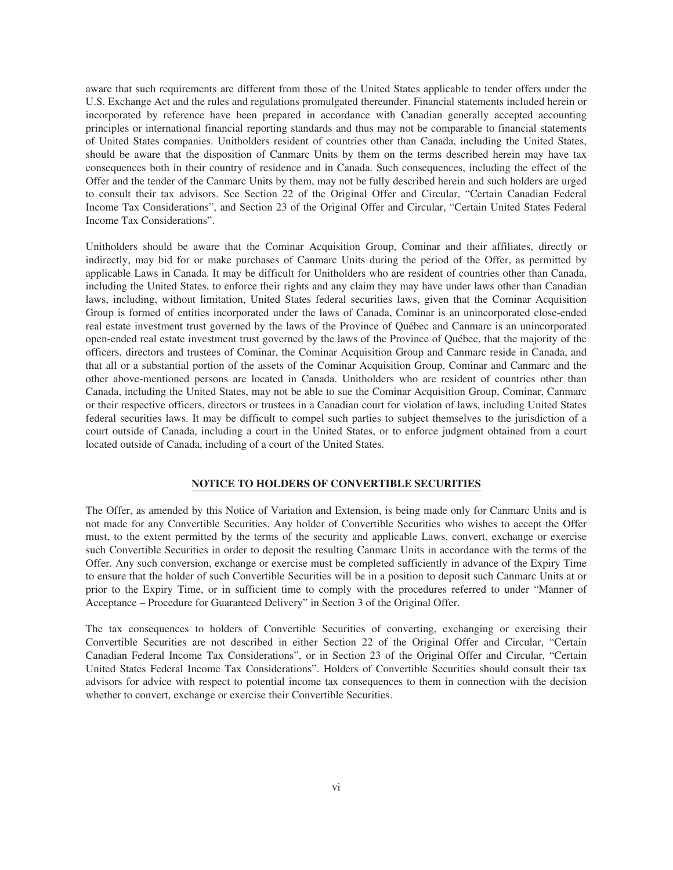aware that such requirements are different from those of the United States applicable to tender offers under the U.S. Exchange Act and the rules and regulations promulgated thereunder. Financial statements included herein or incorporated by reference have been prepared in accordance with Canadian generally accepted accounting principles or international financial reporting standards and thus may not be comparable to financial statements of United States companies. Unitholders resident of countries other than Canada, including the United States, should be aware that the disposition of Canmarc Units by them on the terms described herein may have tax consequences both in their country of residence and in Canada. Such consequences, including the effect of the Offer and the tender of the Canmarc Units by them, may not be fully described herein and such holders are urged to consult their tax advisors. See Section 22 of the Original Offer and Circular, "Certain Canadian Federal Income Tax Considerations", and Section 23 of the Original Offer and Circular, "Certain United States Federal Income Tax Considerations".

Unitholders should be aware that the Cominar Acquisition Group, Cominar and their affiliates, directly or indirectly, may bid for or make purchases of Canmarc Units during the period of the Offer, as permitted by applicable Laws in Canada. It may be difficult for Unitholders who are resident of countries other than Canada, including the United States, to enforce their rights and any claim they may have under laws other than Canadian laws, including, without limitation, United States federal securities laws, given that the Cominar Acquisition Group is formed of entities incorporated under the laws of Canada, Cominar is an unincorporated close-ended real estate investment trust governed by the laws of the Province of Québec and Canmarc is an unincorporated open-ended real estate investment trust governed by the laws of the Province of Québec, that the majority of the officers, directors and trustees of Cominar, the Cominar Acquisition Group and Canmarc reside in Canada, and that all or a substantial portion of the assets of the Cominar Acquisition Group, Cominar and Canmarc and the other above-mentioned persons are located in Canada. Unitholders who are resident of countries other than Canada, including the United States, may not be able to sue the Cominar Acquisition Group, Cominar, Canmarc or their respective officers, directors or trustees in a Canadian court for violation of laws, including United States federal securities laws. It may be difficult to compel such parties to subject themselves to the jurisdiction of a court outside of Canada, including a court in the United States, or to enforce judgment obtained from a court located outside of Canada, including of a court of the United States.

# **NOTICE TO HOLDERS OF CONVERTIBLE SECURITIES**

The Offer, as amended by this Notice of Variation and Extension, is being made only for Canmarc Units and is not made for any Convertible Securities. Any holder of Convertible Securities who wishes to accept the Offer must, to the extent permitted by the terms of the security and applicable Laws, convert, exchange or exercise such Convertible Securities in order to deposit the resulting Canmarc Units in accordance with the terms of the Offer. Any such conversion, exchange or exercise must be completed sufficiently in advance of the Expiry Time to ensure that the holder of such Convertible Securities will be in a position to deposit such Canmarc Units at or prior to the Expiry Time, or in sufficient time to comply with the procedures referred to under "Manner of Acceptance – Procedure for Guaranteed Delivery" in Section 3 of the Original Offer.

The tax consequences to holders of Convertible Securities of converting, exchanging or exercising their Convertible Securities are not described in either Section 22 of the Original Offer and Circular, "Certain Canadian Federal Income Tax Considerations", or in Section 23 of the Original Offer and Circular, "Certain United States Federal Income Tax Considerations". Holders of Convertible Securities should consult their tax advisors for advice with respect to potential income tax consequences to them in connection with the decision whether to convert, exchange or exercise their Convertible Securities.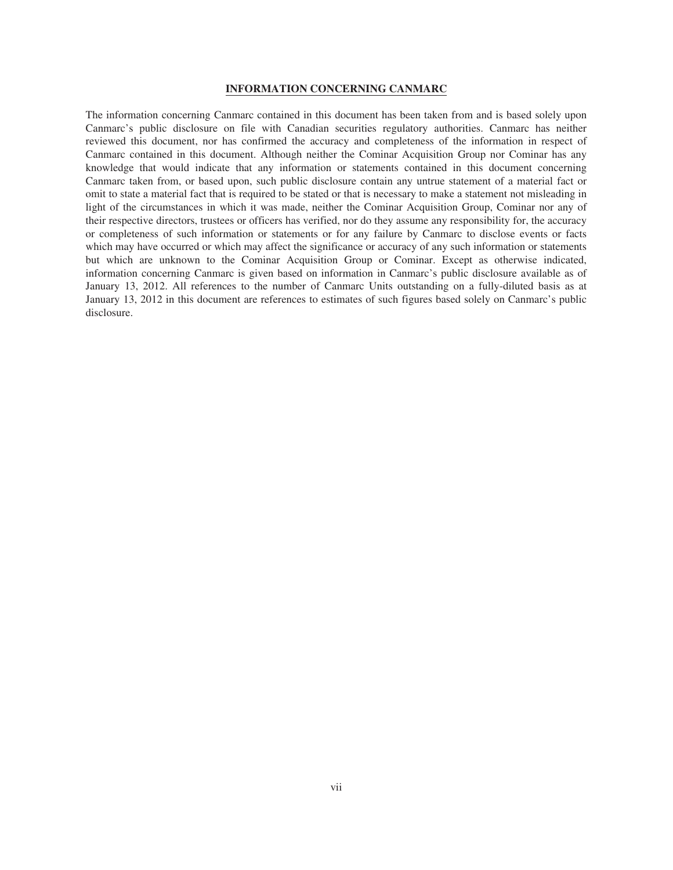# **INFORMATION CONCERNING CANMARC**

The information concerning Canmarc contained in this document has been taken from and is based solely upon Canmarc's public disclosure on file with Canadian securities regulatory authorities. Canmarc has neither reviewed this document, nor has confirmed the accuracy and completeness of the information in respect of Canmarc contained in this document. Although neither the Cominar Acquisition Group nor Cominar has any knowledge that would indicate that any information or statements contained in this document concerning Canmarc taken from, or based upon, such public disclosure contain any untrue statement of a material fact or omit to state a material fact that is required to be stated or that is necessary to make a statement not misleading in light of the circumstances in which it was made, neither the Cominar Acquisition Group, Cominar nor any of their respective directors, trustees or officers has verified, nor do they assume any responsibility for, the accuracy or completeness of such information or statements or for any failure by Canmarc to disclose events or facts which may have occurred or which may affect the significance or accuracy of any such information or statements but which are unknown to the Cominar Acquisition Group or Cominar. Except as otherwise indicated, information concerning Canmarc is given based on information in Canmarc's public disclosure available as of January 13, 2012. All references to the number of Canmarc Units outstanding on a fully-diluted basis as at January 13, 2012 in this document are references to estimates of such figures based solely on Canmarc's public disclosure.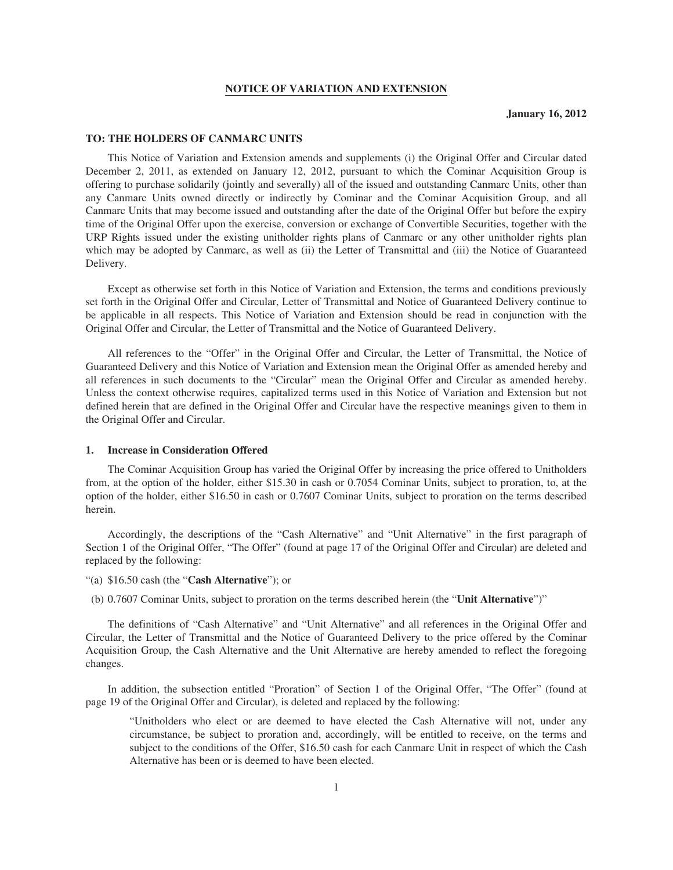# **NOTICE OF VARIATION AND EXTENSION**

# **TO: THE HOLDERS OF CANMARC UNITS**

This Notice of Variation and Extension amends and supplements (i) the Original Offer and Circular dated December 2, 2011, as extended on January 12, 2012, pursuant to which the Cominar Acquisition Group is offering to purchase solidarily (jointly and severally) all of the issued and outstanding Canmarc Units, other than any Canmarc Units owned directly or indirectly by Cominar and the Cominar Acquisition Group, and all Canmarc Units that may become issued and outstanding after the date of the Original Offer but before the expiry time of the Original Offer upon the exercise, conversion or exchange of Convertible Securities, together with the URP Rights issued under the existing unitholder rights plans of Canmarc or any other unitholder rights plan which may be adopted by Canmarc, as well as (ii) the Letter of Transmittal and (iii) the Notice of Guaranteed Delivery.

Except as otherwise set forth in this Notice of Variation and Extension, the terms and conditions previously set forth in the Original Offer and Circular, Letter of Transmittal and Notice of Guaranteed Delivery continue to be applicable in all respects. This Notice of Variation and Extension should be read in conjunction with the Original Offer and Circular, the Letter of Transmittal and the Notice of Guaranteed Delivery.

All references to the "Offer" in the Original Offer and Circular, the Letter of Transmittal, the Notice of Guaranteed Delivery and this Notice of Variation and Extension mean the Original Offer as amended hereby and all references in such documents to the "Circular" mean the Original Offer and Circular as amended hereby. Unless the context otherwise requires, capitalized terms used in this Notice of Variation and Extension but not defined herein that are defined in the Original Offer and Circular have the respective meanings given to them in the Original Offer and Circular.

#### **1. Increase in Consideration Offered**

The Cominar Acquisition Group has varied the Original Offer by increasing the price offered to Unitholders from, at the option of the holder, either \$15.30 in cash or 0.7054 Cominar Units, subject to proration, to, at the option of the holder, either \$16.50 in cash or 0.7607 Cominar Units, subject to proration on the terms described herein.

Accordingly, the descriptions of the "Cash Alternative" and "Unit Alternative" in the first paragraph of Section 1 of the Original Offer, "The Offer" (found at page 17 of the Original Offer and Circular) are deleted and replaced by the following:

"(a) \$16.50 cash (the "**Cash Alternative**"); or

(b) 0.7607 Cominar Units, subject to proration on the terms described herein (the "**Unit Alternative**")"

The definitions of "Cash Alternative" and "Unit Alternative" and all references in the Original Offer and Circular, the Letter of Transmittal and the Notice of Guaranteed Delivery to the price offered by the Cominar Acquisition Group, the Cash Alternative and the Unit Alternative are hereby amended to reflect the foregoing changes.

In addition, the subsection entitled "Proration" of Section 1 of the Original Offer, "The Offer" (found at page 19 of the Original Offer and Circular), is deleted and replaced by the following:

"Unitholders who elect or are deemed to have elected the Cash Alternative will not, under any circumstance, be subject to proration and, accordingly, will be entitled to receive, on the terms and subject to the conditions of the Offer, \$16.50 cash for each Canmarc Unit in respect of which the Cash Alternative has been or is deemed to have been elected.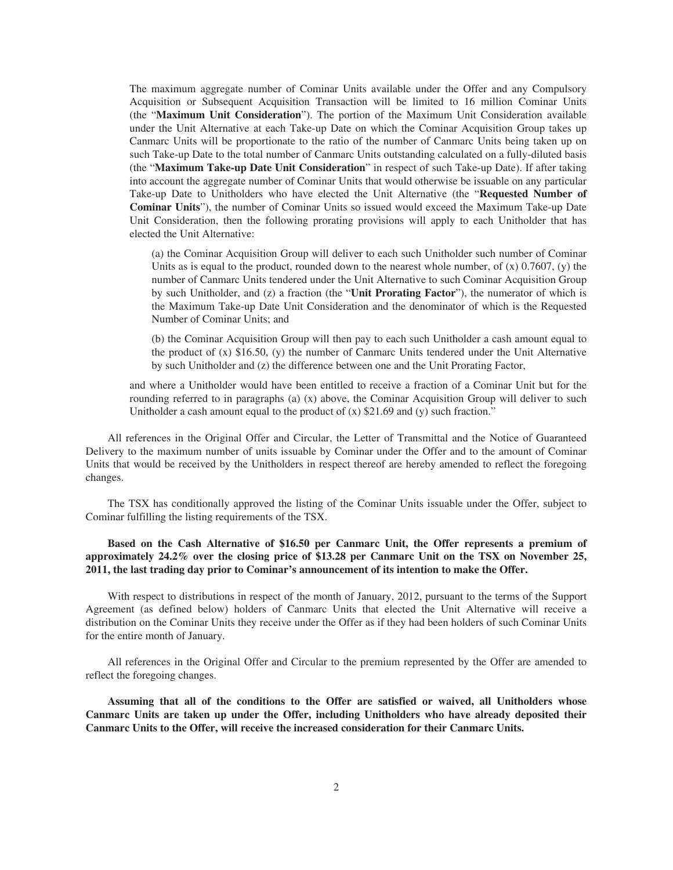The maximum aggregate number of Cominar Units available under the Offer and any Compulsory Acquisition or Subsequent Acquisition Transaction will be limited to 16 million Cominar Units (the "**Maximum Unit Consideration**"). The portion of the Maximum Unit Consideration available under the Unit Alternative at each Take-up Date on which the Cominar Acquisition Group takes up Canmarc Units will be proportionate to the ratio of the number of Canmarc Units being taken up on such Take-up Date to the total number of Canmarc Units outstanding calculated on a fully-diluted basis (the "**Maximum Take-up Date Unit Consideration**" in respect of such Take-up Date). If after taking into account the aggregate number of Cominar Units that would otherwise be issuable on any particular Take-up Date to Unitholders who have elected the Unit Alternative (the "**Requested Number of Cominar Units**"), the number of Cominar Units so issued would exceed the Maximum Take-up Date Unit Consideration, then the following prorating provisions will apply to each Unitholder that has elected the Unit Alternative:

(a) the Cominar Acquisition Group will deliver to each such Unitholder such number of Cominar Units as is equal to the product, rounded down to the nearest whole number, of  $(x)$  0.7607,  $(y)$  the number of Canmarc Units tendered under the Unit Alternative to such Cominar Acquisition Group by such Unitholder, and (z) a fraction (the "**Unit Prorating Factor**"), the numerator of which is the Maximum Take-up Date Unit Consideration and the denominator of which is the Requested Number of Cominar Units; and

(b) the Cominar Acquisition Group will then pay to each such Unitholder a cash amount equal to the product of  $(x)$  \$16.50,  $(y)$  the number of Canmarc Units tendered under the Unit Alternative by such Unitholder and (z) the difference between one and the Unit Prorating Factor,

and where a Unitholder would have been entitled to receive a fraction of a Cominar Unit but for the rounding referred to in paragraphs (a) (x) above, the Cominar Acquisition Group will deliver to such Unitholder a cash amount equal to the product of  $(x)$  \$21.69 and  $(y)$  such fraction."

All references in the Original Offer and Circular, the Letter of Transmittal and the Notice of Guaranteed Delivery to the maximum number of units issuable by Cominar under the Offer and to the amount of Cominar Units that would be received by the Unitholders in respect thereof are hereby amended to reflect the foregoing changes.

The TSX has conditionally approved the listing of the Cominar Units issuable under the Offer, subject to Cominar fulfilling the listing requirements of the TSX.

# **Based on the Cash Alternative of \$16.50 per Canmarc Unit, the Offer represents a premium of approximately 24.2% over the closing price of \$13.28 per Canmarc Unit on the TSX on November 25, 2011, the last trading day prior to Cominar's announcement of its intention to make the Offer.**

With respect to distributions in respect of the month of January, 2012, pursuant to the terms of the Support Agreement (as defined below) holders of Canmarc Units that elected the Unit Alternative will receive a distribution on the Cominar Units they receive under the Offer as if they had been holders of such Cominar Units for the entire month of January.

All references in the Original Offer and Circular to the premium represented by the Offer are amended to reflect the foregoing changes.

**Assuming that all of the conditions to the Offer are satisfied or waived, all Unitholders whose Canmarc Units are taken up under the Offer, including Unitholders who have already deposited their Canmarc Units to the Offer, will receive the increased consideration for their Canmarc Units.**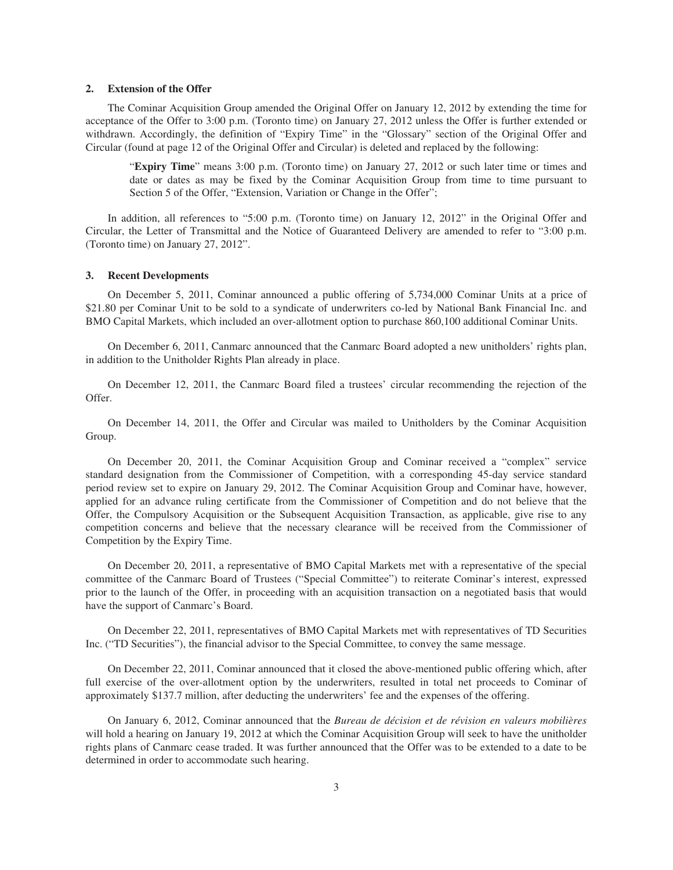### **2. Extension of the Offer**

The Cominar Acquisition Group amended the Original Offer on January 12, 2012 by extending the time for acceptance of the Offer to 3:00 p.m. (Toronto time) on January 27, 2012 unless the Offer is further extended or withdrawn. Accordingly, the definition of "Expiry Time" in the "Glossary" section of the Original Offer and Circular (found at page 12 of the Original Offer and Circular) is deleted and replaced by the following:

"**Expiry Time**" means 3:00 p.m. (Toronto time) on January 27, 2012 or such later time or times and date or dates as may be fixed by the Cominar Acquisition Group from time to time pursuant to Section 5 of the Offer, "Extension, Variation or Change in the Offer";

In addition, all references to "5:00 p.m. (Toronto time) on January 12, 2012" in the Original Offer and Circular, the Letter of Transmittal and the Notice of Guaranteed Delivery are amended to refer to "3:00 p.m. (Toronto time) on January 27, 2012".

# **3. Recent Developments**

On December 5, 2011, Cominar announced a public offering of 5,734,000 Cominar Units at a price of \$21.80 per Cominar Unit to be sold to a syndicate of underwriters co-led by National Bank Financial Inc. and BMO Capital Markets, which included an over-allotment option to purchase 860,100 additional Cominar Units.

On December 6, 2011, Canmarc announced that the Canmarc Board adopted a new unitholders' rights plan, in addition to the Unitholder Rights Plan already in place.

On December 12, 2011, the Canmarc Board filed a trustees' circular recommending the rejection of the Offer.

On December 14, 2011, the Offer and Circular was mailed to Unitholders by the Cominar Acquisition Group.

On December 20, 2011, the Cominar Acquisition Group and Cominar received a "complex" service standard designation from the Commissioner of Competition, with a corresponding 45-day service standard period review set to expire on January 29, 2012. The Cominar Acquisition Group and Cominar have, however, applied for an advance ruling certificate from the Commissioner of Competition and do not believe that the Offer, the Compulsory Acquisition or the Subsequent Acquisition Transaction, as applicable, give rise to any competition concerns and believe that the necessary clearance will be received from the Commissioner of Competition by the Expiry Time.

On December 20, 2011, a representative of BMO Capital Markets met with a representative of the special committee of the Canmarc Board of Trustees ("Special Committee") to reiterate Cominar's interest, expressed prior to the launch of the Offer, in proceeding with an acquisition transaction on a negotiated basis that would have the support of Canmarc's Board.

On December 22, 2011, representatives of BMO Capital Markets met with representatives of TD Securities Inc. ("TD Securities"), the financial advisor to the Special Committee, to convey the same message.

On December 22, 2011, Cominar announced that it closed the above-mentioned public offering which, after full exercise of the over-allotment option by the underwriters, resulted in total net proceeds to Cominar of approximately \$137.7 million, after deducting the underwriters' fee and the expenses of the offering.

On January 6, 2012, Cominar announced that the *Bureau de décision et de révision en valeurs mobilières* will hold a hearing on January 19, 2012 at which the Cominar Acquisition Group will seek to have the unitholder rights plans of Canmarc cease traded. It was further announced that the Offer was to be extended to a date to be determined in order to accommodate such hearing.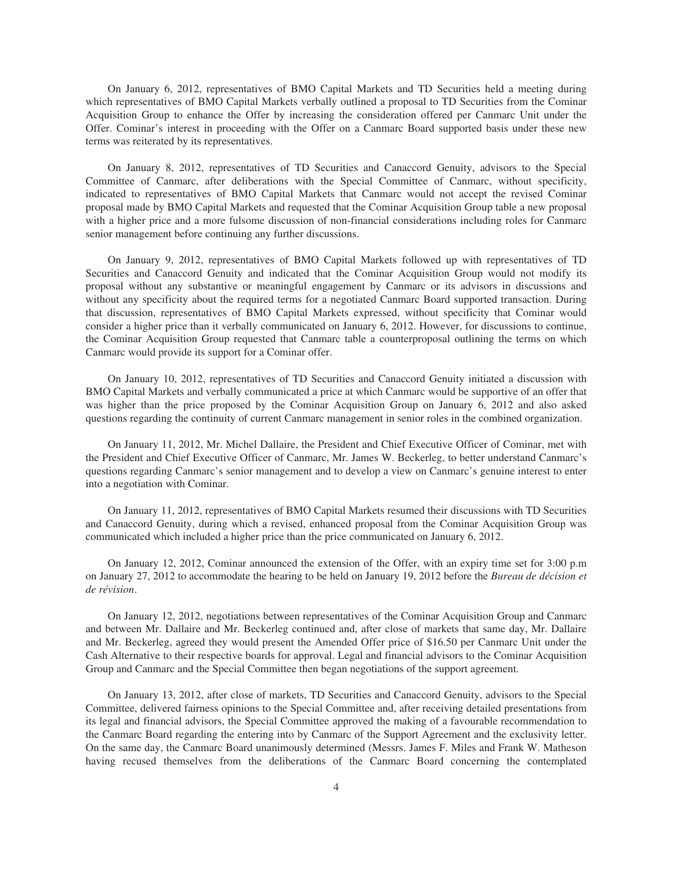On January 6, 2012, representatives of BMO Capital Markets and TD Securities held a meeting during which representatives of BMO Capital Markets verbally outlined a proposal to TD Securities from the Cominar Acquisition Group to enhance the Offer by increasing the consideration offered per Canmarc Unit under the Offer. Cominar's interest in proceeding with the Offer on a Canmarc Board supported basis under these new terms was reiterated by its representatives.

On January 8, 2012, representatives of TD Securities and Canaccord Genuity, advisors to the Special Committee of Canmarc, after deliberations with the Special Committee of Canmarc, without specificity, indicated to representatives of BMO Capital Markets that Canmarc would not accept the revised Cominar proposal made by BMO Capital Markets and requested that the Cominar Acquisition Group table a new proposal with a higher price and a more fulsome discussion of non-financial considerations including roles for Canmarc senior management before continuing any further discussions.

On January 9, 2012, representatives of BMO Capital Markets followed up with representatives of TD Securities and Canaccord Genuity and indicated that the Cominar Acquisition Group would not modify its proposal without any substantive or meaningful engagement by Canmarc or its advisors in discussions and without any specificity about the required terms for a negotiated Canmarc Board supported transaction. During that discussion, representatives of BMO Capital Markets expressed, without specificity that Cominar would consider a higher price than it verbally communicated on January 6, 2012. However, for discussions to continue, the Cominar Acquisition Group requested that Canmarc table a counterproposal outlining the terms on which Canmarc would provide its support for a Cominar offer.

On January 10, 2012, representatives of TD Securities and Canaccord Genuity initiated a discussion with BMO Capital Markets and verbally communicated a price at which Canmarc would be supportive of an offer that was higher than the price proposed by the Cominar Acquisition Group on January 6, 2012 and also asked questions regarding the continuity of current Canmarc management in senior roles in the combined organization.

On January 11, 2012, Mr. Michel Dallaire, the President and Chief Executive Officer of Cominar, met with the President and Chief Executive Officer of Canmarc, Mr. James W. Beckerleg, to better understand Canmarc's questions regarding Canmarc's senior management and to develop a view on Canmarc's genuine interest to enter into a negotiation with Cominar.

On January 11, 2012, representatives of BMO Capital Markets resumed their discussions with TD Securities and Canaccord Genuity, during which a revised, enhanced proposal from the Cominar Acquisition Group was communicated which included a higher price than the price communicated on January 6, 2012.

On January 12, 2012, Cominar announced the extension of the Offer, with an expiry time set for 3:00 p.m on January 27, 2012 to accommodate the hearing to be held on January 19, 2012 before the *Bureau de décision et de révision*.

On January 12, 2012, negotiations between representatives of the Cominar Acquisition Group and Canmarc and between Mr. Dallaire and Mr. Beckerleg continued and, after close of markets that same day, Mr. Dallaire and Mr. Beckerleg, agreed they would present the Amended Offer price of \$16.50 per Canmarc Unit under the Cash Alternative to their respective boards for approval. Legal and financial advisors to the Cominar Acquisition Group and Canmarc and the Special Committee then began negotiations of the support agreement.

On January 13, 2012, after close of markets, TD Securities and Canaccord Genuity, advisors to the Special Committee, delivered fairness opinions to the Special Committee and, after receiving detailed presentations from its legal and financial advisors, the Special Committee approved the making of a favourable recommendation to the Canmarc Board regarding the entering into by Canmarc of the Support Agreement and the exclusivity letter. On the same day, the Canmarc Board unanimously determined (Messrs. James F. Miles and Frank W. Matheson having recused themselves from the deliberations of the Canmarc Board concerning the contemplated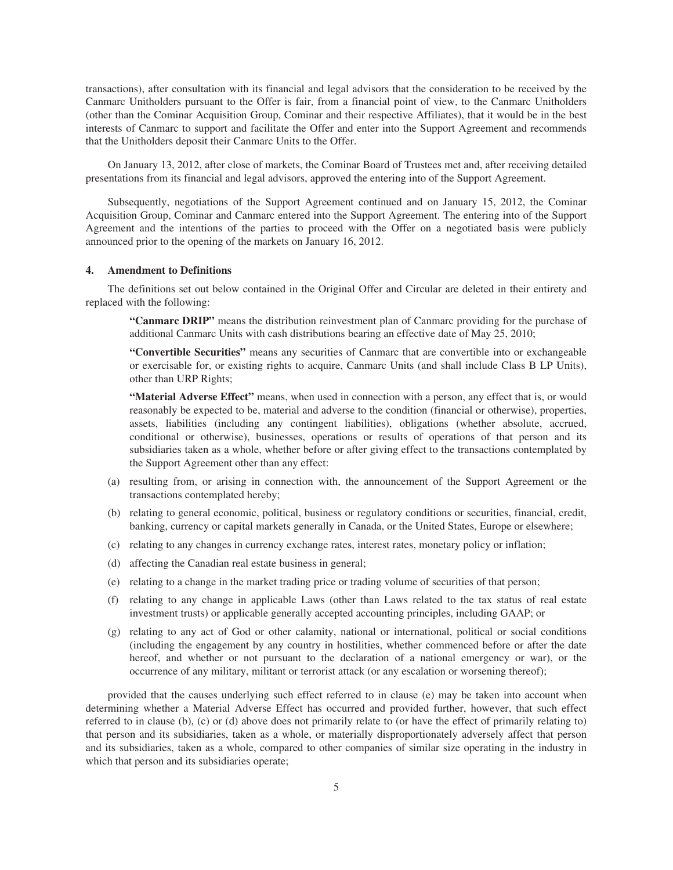transactions), after consultation with its financial and legal advisors that the consideration to be received by the Canmarc Unitholders pursuant to the Offer is fair, from a financial point of view, to the Canmarc Unitholders (other than the Cominar Acquisition Group, Cominar and their respective Affiliates), that it would be in the best interests of Canmarc to support and facilitate the Offer and enter into the Support Agreement and recommends that the Unitholders deposit their Canmarc Units to the Offer.

On January 13, 2012, after close of markets, the Cominar Board of Trustees met and, after receiving detailed presentations from its financial and legal advisors, approved the entering into of the Support Agreement.

Subsequently, negotiations of the Support Agreement continued and on January 15, 2012, the Cominar Acquisition Group, Cominar and Canmarc entered into the Support Agreement. The entering into of the Support Agreement and the intentions of the parties to proceed with the Offer on a negotiated basis were publicly announced prior to the opening of the markets on January 16, 2012.

# **4. Amendment to Definitions**

The definitions set out below contained in the Original Offer and Circular are deleted in their entirety and replaced with the following:

**"Canmarc DRIP"** means the distribution reinvestment plan of Canmarc providing for the purchase of additional Canmarc Units with cash distributions bearing an effective date of May 25, 2010;

**"Convertible Securities"** means any securities of Canmarc that are convertible into or exchangeable or exercisable for, or existing rights to acquire, Canmarc Units (and shall include Class B LP Units), other than URP Rights;

**"Material Adverse Effect"** means, when used in connection with a person, any effect that is, or would reasonably be expected to be, material and adverse to the condition (financial or otherwise), properties, assets, liabilities (including any contingent liabilities), obligations (whether absolute, accrued, conditional or otherwise), businesses, operations or results of operations of that person and its subsidiaries taken as a whole, whether before or after giving effect to the transactions contemplated by the Support Agreement other than any effect:

- (a) resulting from, or arising in connection with, the announcement of the Support Agreement or the transactions contemplated hereby;
- (b) relating to general economic, political, business or regulatory conditions or securities, financial, credit, banking, currency or capital markets generally in Canada, or the United States, Europe or elsewhere;
- (c) relating to any changes in currency exchange rates, interest rates, monetary policy or inflation;
- (d) affecting the Canadian real estate business in general;
- (e) relating to a change in the market trading price or trading volume of securities of that person;
- (f) relating to any change in applicable Laws (other than Laws related to the tax status of real estate investment trusts) or applicable generally accepted accounting principles, including GAAP; or
- (g) relating to any act of God or other calamity, national or international, political or social conditions (including the engagement by any country in hostilities, whether commenced before or after the date hereof, and whether or not pursuant to the declaration of a national emergency or war), or the occurrence of any military, militant or terrorist attack (or any escalation or worsening thereof);

provided that the causes underlying such effect referred to in clause (e) may be taken into account when determining whether a Material Adverse Effect has occurred and provided further, however, that such effect referred to in clause (b), (c) or (d) above does not primarily relate to (or have the effect of primarily relating to) that person and its subsidiaries, taken as a whole, or materially disproportionately adversely affect that person and its subsidiaries, taken as a whole, compared to other companies of similar size operating in the industry in which that person and its subsidiaries operate;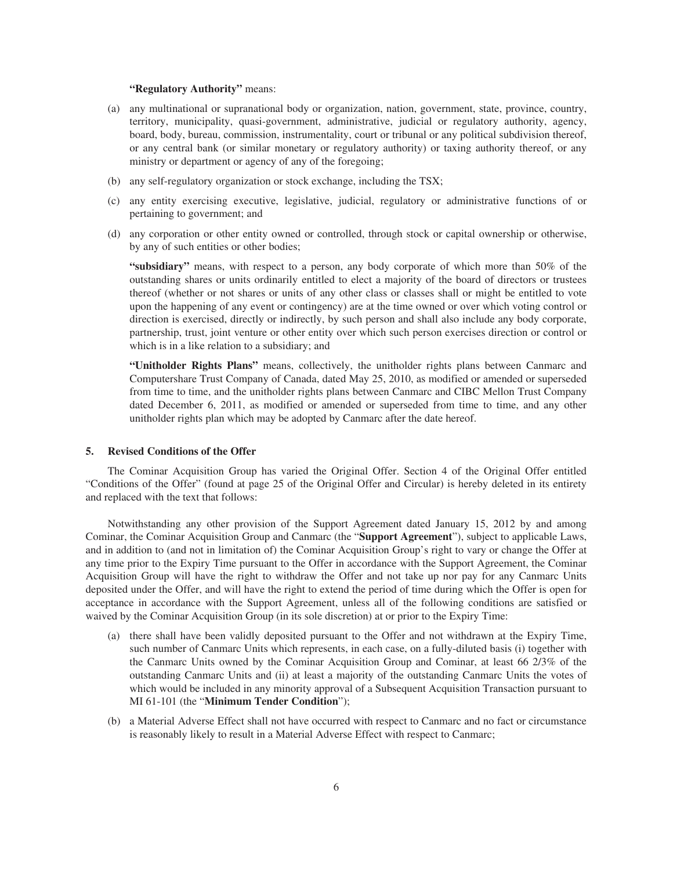# **"Regulatory Authority"** means:

- (a) any multinational or supranational body or organization, nation, government, state, province, country, territory, municipality, quasi-government, administrative, judicial or regulatory authority, agency, board, body, bureau, commission, instrumentality, court or tribunal or any political subdivision thereof, or any central bank (or similar monetary or regulatory authority) or taxing authority thereof, or any ministry or department or agency of any of the foregoing;
- (b) any self-regulatory organization or stock exchange, including the TSX;
- (c) any entity exercising executive, legislative, judicial, regulatory or administrative functions of or pertaining to government; and
- (d) any corporation or other entity owned or controlled, through stock or capital ownership or otherwise, by any of such entities or other bodies;

**"subsidiary"** means, with respect to a person, any body corporate of which more than 50% of the outstanding shares or units ordinarily entitled to elect a majority of the board of directors or trustees thereof (whether or not shares or units of any other class or classes shall or might be entitled to vote upon the happening of any event or contingency) are at the time owned or over which voting control or direction is exercised, directly or indirectly, by such person and shall also include any body corporate, partnership, trust, joint venture or other entity over which such person exercises direction or control or which is in a like relation to a subsidiary; and

**"Unitholder Rights Plans"** means, collectively, the unitholder rights plans between Canmarc and Computershare Trust Company of Canada, dated May 25, 2010, as modified or amended or superseded from time to time, and the unitholder rights plans between Canmarc and CIBC Mellon Trust Company dated December 6, 2011, as modified or amended or superseded from time to time, and any other unitholder rights plan which may be adopted by Canmarc after the date hereof.

### **5. Revised Conditions of the Offer**

The Cominar Acquisition Group has varied the Original Offer. Section 4 of the Original Offer entitled "Conditions of the Offer" (found at page 25 of the Original Offer and Circular) is hereby deleted in its entirety and replaced with the text that follows:

Notwithstanding any other provision of the Support Agreement dated January 15, 2012 by and among Cominar, the Cominar Acquisition Group and Canmarc (the "**Support Agreement**"), subject to applicable Laws, and in addition to (and not in limitation of) the Cominar Acquisition Group's right to vary or change the Offer at any time prior to the Expiry Time pursuant to the Offer in accordance with the Support Agreement, the Cominar Acquisition Group will have the right to withdraw the Offer and not take up nor pay for any Canmarc Units deposited under the Offer, and will have the right to extend the period of time during which the Offer is open for acceptance in accordance with the Support Agreement, unless all of the following conditions are satisfied or waived by the Cominar Acquisition Group (in its sole discretion) at or prior to the Expiry Time:

- (a) there shall have been validly deposited pursuant to the Offer and not withdrawn at the Expiry Time, such number of Canmarc Units which represents, in each case, on a fully-diluted basis (i) together with the Canmarc Units owned by the Cominar Acquisition Group and Cominar, at least 66 2/3% of the outstanding Canmarc Units and (ii) at least a majority of the outstanding Canmarc Units the votes of which would be included in any minority approval of a Subsequent Acquisition Transaction pursuant to MI 61-101 (the "**Minimum Tender Condition**");
- (b) a Material Adverse Effect shall not have occurred with respect to Canmarc and no fact or circumstance is reasonably likely to result in a Material Adverse Effect with respect to Canmarc;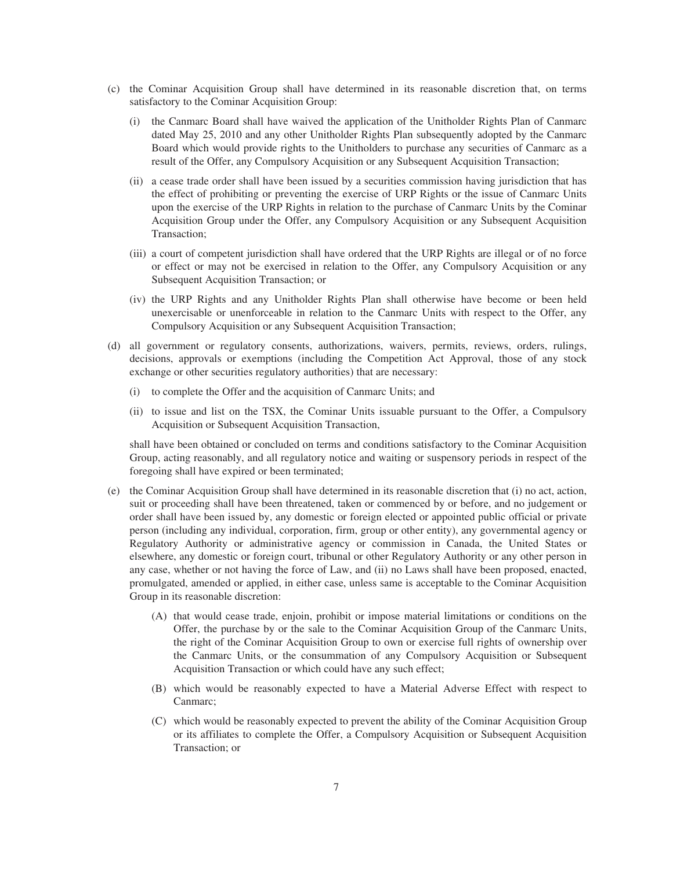- (c) the Cominar Acquisition Group shall have determined in its reasonable discretion that, on terms satisfactory to the Cominar Acquisition Group:
	- (i) the Canmarc Board shall have waived the application of the Unitholder Rights Plan of Canmarc dated May 25, 2010 and any other Unitholder Rights Plan subsequently adopted by the Canmarc Board which would provide rights to the Unitholders to purchase any securities of Canmarc as a result of the Offer, any Compulsory Acquisition or any Subsequent Acquisition Transaction;
	- (ii) a cease trade order shall have been issued by a securities commission having jurisdiction that has the effect of prohibiting or preventing the exercise of URP Rights or the issue of Canmarc Units upon the exercise of the URP Rights in relation to the purchase of Canmarc Units by the Cominar Acquisition Group under the Offer, any Compulsory Acquisition or any Subsequent Acquisition Transaction;
	- (iii) a court of competent jurisdiction shall have ordered that the URP Rights are illegal or of no force or effect or may not be exercised in relation to the Offer, any Compulsory Acquisition or any Subsequent Acquisition Transaction; or
	- (iv) the URP Rights and any Unitholder Rights Plan shall otherwise have become or been held unexercisable or unenforceable in relation to the Canmarc Units with respect to the Offer, any Compulsory Acquisition or any Subsequent Acquisition Transaction;
- (d) all government or regulatory consents, authorizations, waivers, permits, reviews, orders, rulings, decisions, approvals or exemptions (including the Competition Act Approval, those of any stock exchange or other securities regulatory authorities) that are necessary:
	- (i) to complete the Offer and the acquisition of Canmarc Units; and
	- (ii) to issue and list on the TSX, the Cominar Units issuable pursuant to the Offer, a Compulsory Acquisition or Subsequent Acquisition Transaction,

shall have been obtained or concluded on terms and conditions satisfactory to the Cominar Acquisition Group, acting reasonably, and all regulatory notice and waiting or suspensory periods in respect of the foregoing shall have expired or been terminated;

- (e) the Cominar Acquisition Group shall have determined in its reasonable discretion that (i) no act, action, suit or proceeding shall have been threatened, taken or commenced by or before, and no judgement or order shall have been issued by, any domestic or foreign elected or appointed public official or private person (including any individual, corporation, firm, group or other entity), any governmental agency or Regulatory Authority or administrative agency or commission in Canada, the United States or elsewhere, any domestic or foreign court, tribunal or other Regulatory Authority or any other person in any case, whether or not having the force of Law, and (ii) no Laws shall have been proposed, enacted, promulgated, amended or applied, in either case, unless same is acceptable to the Cominar Acquisition Group in its reasonable discretion:
	- (A) that would cease trade, enjoin, prohibit or impose material limitations or conditions on the Offer, the purchase by or the sale to the Cominar Acquisition Group of the Canmarc Units, the right of the Cominar Acquisition Group to own or exercise full rights of ownership over the Canmarc Units, or the consummation of any Compulsory Acquisition or Subsequent Acquisition Transaction or which could have any such effect;
	- (B) which would be reasonably expected to have a Material Adverse Effect with respect to Canmarc;
	- (C) which would be reasonably expected to prevent the ability of the Cominar Acquisition Group or its affiliates to complete the Offer, a Compulsory Acquisition or Subsequent Acquisition Transaction; or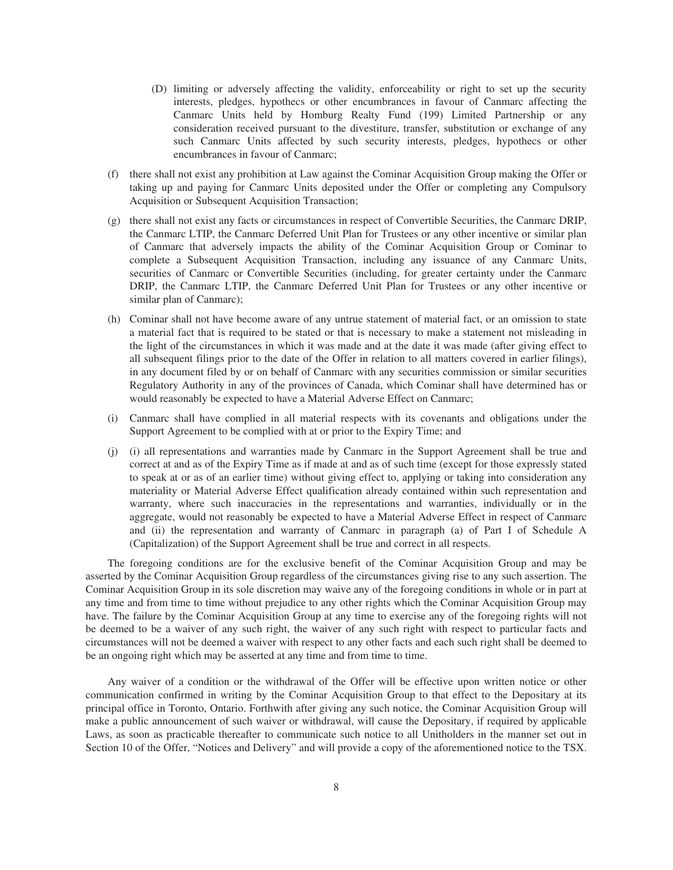- (D) limiting or adversely affecting the validity, enforceability or right to set up the security interests, pledges, hypothecs or other encumbrances in favour of Canmarc affecting the Canmarc Units held by Homburg Realty Fund (199) Limited Partnership or any consideration received pursuant to the divestiture, transfer, substitution or exchange of any such Canmarc Units affected by such security interests, pledges, hypothecs or other encumbrances in favour of Canmarc;
- (f) there shall not exist any prohibition at Law against the Cominar Acquisition Group making the Offer or taking up and paying for Canmarc Units deposited under the Offer or completing any Compulsory Acquisition or Subsequent Acquisition Transaction;
- (g) there shall not exist any facts or circumstances in respect of Convertible Securities, the Canmarc DRIP, the Canmarc LTIP, the Canmarc Deferred Unit Plan for Trustees or any other incentive or similar plan of Canmarc that adversely impacts the ability of the Cominar Acquisition Group or Cominar to complete a Subsequent Acquisition Transaction, including any issuance of any Canmarc Units, securities of Canmarc or Convertible Securities (including, for greater certainty under the Canmarc DRIP, the Canmarc LTIP, the Canmarc Deferred Unit Plan for Trustees or any other incentive or similar plan of Canmarc);
- (h) Cominar shall not have become aware of any untrue statement of material fact, or an omission to state a material fact that is required to be stated or that is necessary to make a statement not misleading in the light of the circumstances in which it was made and at the date it was made (after giving effect to all subsequent filings prior to the date of the Offer in relation to all matters covered in earlier filings), in any document filed by or on behalf of Canmarc with any securities commission or similar securities Regulatory Authority in any of the provinces of Canada, which Cominar shall have determined has or would reasonably be expected to have a Material Adverse Effect on Canmarc;
- (i) Canmarc shall have complied in all material respects with its covenants and obligations under the Support Agreement to be complied with at or prior to the Expiry Time; and
- (j) (i) all representations and warranties made by Canmarc in the Support Agreement shall be true and correct at and as of the Expiry Time as if made at and as of such time (except for those expressly stated to speak at or as of an earlier time) without giving effect to, applying or taking into consideration any materiality or Material Adverse Effect qualification already contained within such representation and warranty, where such inaccuracies in the representations and warranties, individually or in the aggregate, would not reasonably be expected to have a Material Adverse Effect in respect of Canmarc and (ii) the representation and warranty of Canmarc in paragraph (a) of Part I of Schedule A (Capitalization) of the Support Agreement shall be true and correct in all respects.

The foregoing conditions are for the exclusive benefit of the Cominar Acquisition Group and may be asserted by the Cominar Acquisition Group regardless of the circumstances giving rise to any such assertion. The Cominar Acquisition Group in its sole discretion may waive any of the foregoing conditions in whole or in part at any time and from time to time without prejudice to any other rights which the Cominar Acquisition Group may have. The failure by the Cominar Acquisition Group at any time to exercise any of the foregoing rights will not be deemed to be a waiver of any such right, the waiver of any such right with respect to particular facts and circumstances will not be deemed a waiver with respect to any other facts and each such right shall be deemed to be an ongoing right which may be asserted at any time and from time to time.

Any waiver of a condition or the withdrawal of the Offer will be effective upon written notice or other communication confirmed in writing by the Cominar Acquisition Group to that effect to the Depositary at its principal office in Toronto, Ontario. Forthwith after giving any such notice, the Cominar Acquisition Group will make a public announcement of such waiver or withdrawal, will cause the Depositary, if required by applicable Laws, as soon as practicable thereafter to communicate such notice to all Unitholders in the manner set out in Section 10 of the Offer, "Notices and Delivery" and will provide a copy of the aforementioned notice to the TSX.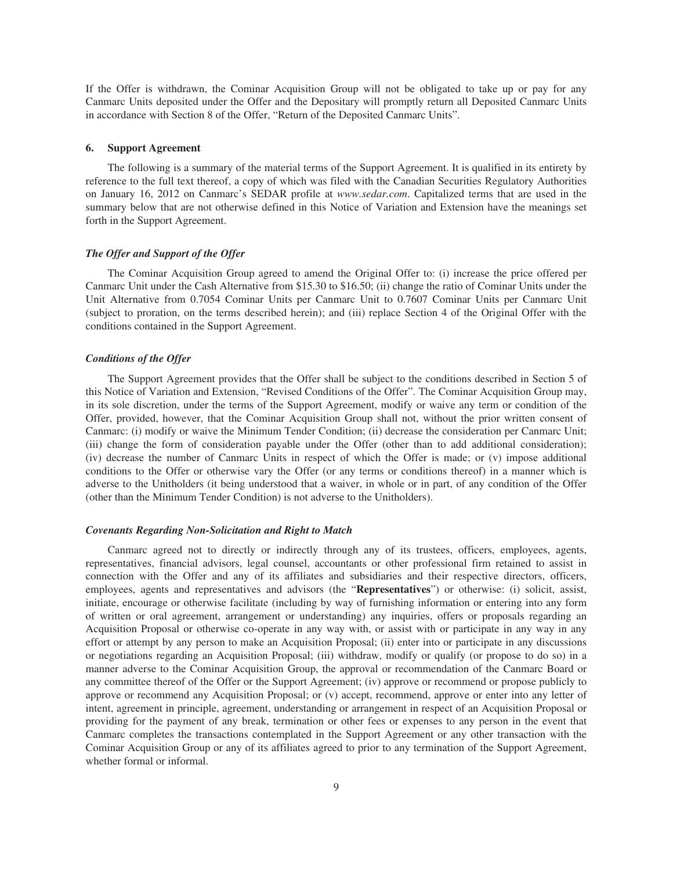If the Offer is withdrawn, the Cominar Acquisition Group will not be obligated to take up or pay for any Canmarc Units deposited under the Offer and the Depositary will promptly return all Deposited Canmarc Units in accordance with Section 8 of the Offer, "Return of the Deposited Canmarc Units".

#### **6. Support Agreement**

The following is a summary of the material terms of the Support Agreement. It is qualified in its entirety by reference to the full text thereof, a copy of which was filed with the Canadian Securities Regulatory Authorities on January 16, 2012 on Canmarc's SEDAR profile at *www.sedar.com*. Capitalized terms that are used in the summary below that are not otherwise defined in this Notice of Variation and Extension have the meanings set forth in the Support Agreement.

## *The Offer and Support of the Offer*

The Cominar Acquisition Group agreed to amend the Original Offer to: (i) increase the price offered per Canmarc Unit under the Cash Alternative from \$15.30 to \$16.50; (ii) change the ratio of Cominar Units under the Unit Alternative from 0.7054 Cominar Units per Canmarc Unit to 0.7607 Cominar Units per Canmarc Unit (subject to proration, on the terms described herein); and (iii) replace Section 4 of the Original Offer with the conditions contained in the Support Agreement.

#### *Conditions of the Offer*

The Support Agreement provides that the Offer shall be subject to the conditions described in Section 5 of this Notice of Variation and Extension, "Revised Conditions of the Offer". The Cominar Acquisition Group may, in its sole discretion, under the terms of the Support Agreement, modify or waive any term or condition of the Offer, provided, however, that the Cominar Acquisition Group shall not, without the prior written consent of Canmarc: (i) modify or waive the Minimum Tender Condition; (ii) decrease the consideration per Canmarc Unit; (iii) change the form of consideration payable under the Offer (other than to add additional consideration); (iv) decrease the number of Canmarc Units in respect of which the Offer is made; or (v) impose additional conditions to the Offer or otherwise vary the Offer (or any terms or conditions thereof) in a manner which is adverse to the Unitholders (it being understood that a waiver, in whole or in part, of any condition of the Offer (other than the Minimum Tender Condition) is not adverse to the Unitholders).

# *Covenants Regarding Non-Solicitation and Right to Match*

Canmarc agreed not to directly or indirectly through any of its trustees, officers, employees, agents, representatives, financial advisors, legal counsel, accountants or other professional firm retained to assist in connection with the Offer and any of its affiliates and subsidiaries and their respective directors, officers, employees, agents and representatives and advisors (the "**Representatives**") or otherwise: (i) solicit, assist, initiate, encourage or otherwise facilitate (including by way of furnishing information or entering into any form of written or oral agreement, arrangement or understanding) any inquiries, offers or proposals regarding an Acquisition Proposal or otherwise co-operate in any way with, or assist with or participate in any way in any effort or attempt by any person to make an Acquisition Proposal; (ii) enter into or participate in any discussions or negotiations regarding an Acquisition Proposal; (iii) withdraw, modify or qualify (or propose to do so) in a manner adverse to the Cominar Acquisition Group, the approval or recommendation of the Canmarc Board or any committee thereof of the Offer or the Support Agreement; (iv) approve or recommend or propose publicly to approve or recommend any Acquisition Proposal; or (v) accept, recommend, approve or enter into any letter of intent, agreement in principle, agreement, understanding or arrangement in respect of an Acquisition Proposal or providing for the payment of any break, termination or other fees or expenses to any person in the event that Canmarc completes the transactions contemplated in the Support Agreement or any other transaction with the Cominar Acquisition Group or any of its affiliates agreed to prior to any termination of the Support Agreement, whether formal or informal.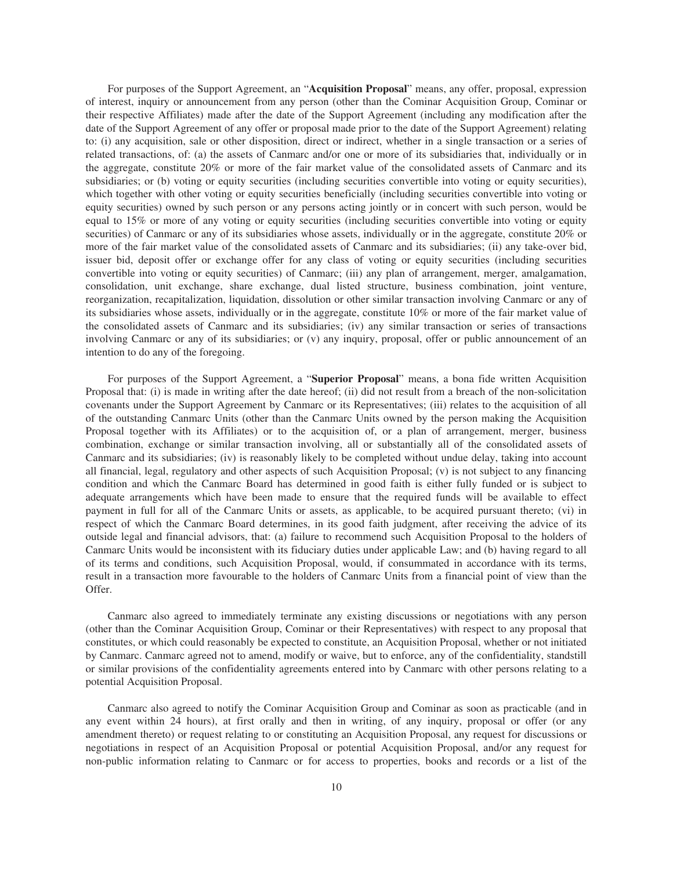For purposes of the Support Agreement, an "**Acquisition Proposal**" means, any offer, proposal, expression of interest, inquiry or announcement from any person (other than the Cominar Acquisition Group, Cominar or their respective Affiliates) made after the date of the Support Agreement (including any modification after the date of the Support Agreement of any offer or proposal made prior to the date of the Support Agreement) relating to: (i) any acquisition, sale or other disposition, direct or indirect, whether in a single transaction or a series of related transactions, of: (a) the assets of Canmarc and/or one or more of its subsidiaries that, individually or in the aggregate, constitute 20% or more of the fair market value of the consolidated assets of Canmarc and its subsidiaries; or (b) voting or equity securities (including securities convertible into voting or equity securities), which together with other voting or equity securities beneficially (including securities convertible into voting or equity securities) owned by such person or any persons acting jointly or in concert with such person, would be equal to 15% or more of any voting or equity securities (including securities convertible into voting or equity securities) of Canmarc or any of its subsidiaries whose assets, individually or in the aggregate, constitute 20% or more of the fair market value of the consolidated assets of Canmarc and its subsidiaries; (ii) any take-over bid, issuer bid, deposit offer or exchange offer for any class of voting or equity securities (including securities convertible into voting or equity securities) of Canmarc; (iii) any plan of arrangement, merger, amalgamation, consolidation, unit exchange, share exchange, dual listed structure, business combination, joint venture, reorganization, recapitalization, liquidation, dissolution or other similar transaction involving Canmarc or any of its subsidiaries whose assets, individually or in the aggregate, constitute 10% or more of the fair market value of the consolidated assets of Canmarc and its subsidiaries; (iv) any similar transaction or series of transactions involving Canmarc or any of its subsidiaries; or (v) any inquiry, proposal, offer or public announcement of an intention to do any of the foregoing.

For purposes of the Support Agreement, a "**Superior Proposal**" means, a bona fide written Acquisition Proposal that: (i) is made in writing after the date hereof; (ii) did not result from a breach of the non-solicitation covenants under the Support Agreement by Canmarc or its Representatives; (iii) relates to the acquisition of all of the outstanding Canmarc Units (other than the Canmarc Units owned by the person making the Acquisition Proposal together with its Affiliates) or to the acquisition of, or a plan of arrangement, merger, business combination, exchange or similar transaction involving, all or substantially all of the consolidated assets of Canmarc and its subsidiaries; (iv) is reasonably likely to be completed without undue delay, taking into account all financial, legal, regulatory and other aspects of such Acquisition Proposal; (v) is not subject to any financing condition and which the Canmarc Board has determined in good faith is either fully funded or is subject to adequate arrangements which have been made to ensure that the required funds will be available to effect payment in full for all of the Canmarc Units or assets, as applicable, to be acquired pursuant thereto; (vi) in respect of which the Canmarc Board determines, in its good faith judgment, after receiving the advice of its outside legal and financial advisors, that: (a) failure to recommend such Acquisition Proposal to the holders of Canmarc Units would be inconsistent with its fiduciary duties under applicable Law; and (b) having regard to all of its terms and conditions, such Acquisition Proposal, would, if consummated in accordance with its terms, result in a transaction more favourable to the holders of Canmarc Units from a financial point of view than the Offer.

Canmarc also agreed to immediately terminate any existing discussions or negotiations with any person (other than the Cominar Acquisition Group, Cominar or their Representatives) with respect to any proposal that constitutes, or which could reasonably be expected to constitute, an Acquisition Proposal, whether or not initiated by Canmarc. Canmarc agreed not to amend, modify or waive, but to enforce, any of the confidentiality, standstill or similar provisions of the confidentiality agreements entered into by Canmarc with other persons relating to a potential Acquisition Proposal.

Canmarc also agreed to notify the Cominar Acquisition Group and Cominar as soon as practicable (and in any event within 24 hours), at first orally and then in writing, of any inquiry, proposal or offer (or any amendment thereto) or request relating to or constituting an Acquisition Proposal, any request for discussions or negotiations in respect of an Acquisition Proposal or potential Acquisition Proposal, and/or any request for non-public information relating to Canmarc or for access to properties, books and records or a list of the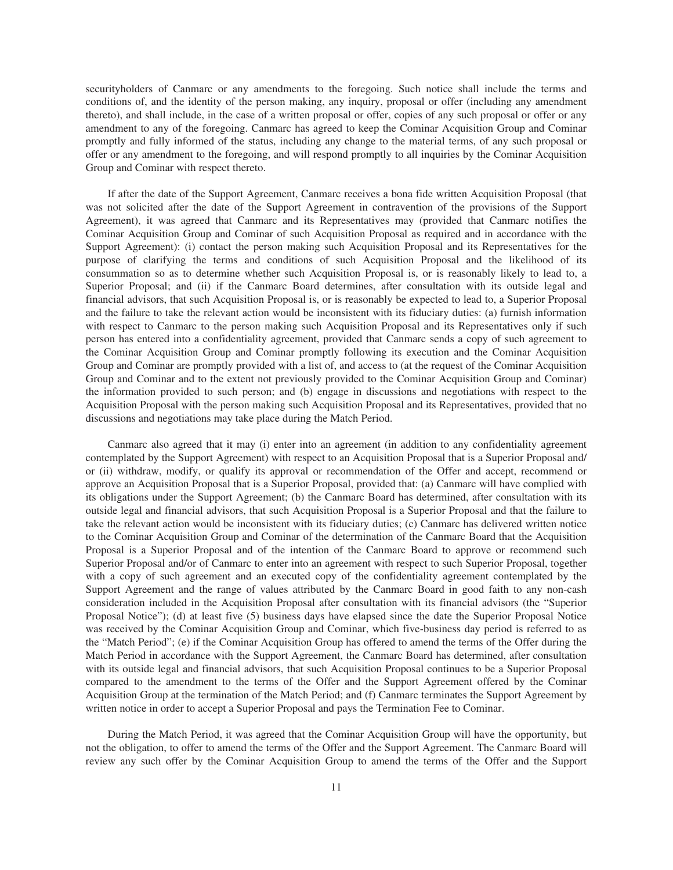securityholders of Canmarc or any amendments to the foregoing. Such notice shall include the terms and conditions of, and the identity of the person making, any inquiry, proposal or offer (including any amendment thereto), and shall include, in the case of a written proposal or offer, copies of any such proposal or offer or any amendment to any of the foregoing. Canmarc has agreed to keep the Cominar Acquisition Group and Cominar promptly and fully informed of the status, including any change to the material terms, of any such proposal or offer or any amendment to the foregoing, and will respond promptly to all inquiries by the Cominar Acquisition Group and Cominar with respect thereto.

If after the date of the Support Agreement, Canmarc receives a bona fide written Acquisition Proposal (that was not solicited after the date of the Support Agreement in contravention of the provisions of the Support Agreement), it was agreed that Canmarc and its Representatives may (provided that Canmarc notifies the Cominar Acquisition Group and Cominar of such Acquisition Proposal as required and in accordance with the Support Agreement): (i) contact the person making such Acquisition Proposal and its Representatives for the purpose of clarifying the terms and conditions of such Acquisition Proposal and the likelihood of its consummation so as to determine whether such Acquisition Proposal is, or is reasonably likely to lead to, a Superior Proposal; and (ii) if the Canmarc Board determines, after consultation with its outside legal and financial advisors, that such Acquisition Proposal is, or is reasonably be expected to lead to, a Superior Proposal and the failure to take the relevant action would be inconsistent with its fiduciary duties: (a) furnish information with respect to Canmarc to the person making such Acquisition Proposal and its Representatives only if such person has entered into a confidentiality agreement, provided that Canmarc sends a copy of such agreement to the Cominar Acquisition Group and Cominar promptly following its execution and the Cominar Acquisition Group and Cominar are promptly provided with a list of, and access to (at the request of the Cominar Acquisition Group and Cominar and to the extent not previously provided to the Cominar Acquisition Group and Cominar) the information provided to such person; and (b) engage in discussions and negotiations with respect to the Acquisition Proposal with the person making such Acquisition Proposal and its Representatives, provided that no discussions and negotiations may take place during the Match Period.

Canmarc also agreed that it may (i) enter into an agreement (in addition to any confidentiality agreement contemplated by the Support Agreement) with respect to an Acquisition Proposal that is a Superior Proposal and/ or (ii) withdraw, modify, or qualify its approval or recommendation of the Offer and accept, recommend or approve an Acquisition Proposal that is a Superior Proposal, provided that: (a) Canmarc will have complied with its obligations under the Support Agreement; (b) the Canmarc Board has determined, after consultation with its outside legal and financial advisors, that such Acquisition Proposal is a Superior Proposal and that the failure to take the relevant action would be inconsistent with its fiduciary duties; (c) Canmarc has delivered written notice to the Cominar Acquisition Group and Cominar of the determination of the Canmarc Board that the Acquisition Proposal is a Superior Proposal and of the intention of the Canmarc Board to approve or recommend such Superior Proposal and/or of Canmarc to enter into an agreement with respect to such Superior Proposal, together with a copy of such agreement and an executed copy of the confidentiality agreement contemplated by the Support Agreement and the range of values attributed by the Canmarc Board in good faith to any non-cash consideration included in the Acquisition Proposal after consultation with its financial advisors (the "Superior Proposal Notice"); (d) at least five (5) business days have elapsed since the date the Superior Proposal Notice was received by the Cominar Acquisition Group and Cominar, which five-business day period is referred to as the "Match Period"; (e) if the Cominar Acquisition Group has offered to amend the terms of the Offer during the Match Period in accordance with the Support Agreement, the Canmarc Board has determined, after consultation with its outside legal and financial advisors, that such Acquisition Proposal continues to be a Superior Proposal compared to the amendment to the terms of the Offer and the Support Agreement offered by the Cominar Acquisition Group at the termination of the Match Period; and (f) Canmarc terminates the Support Agreement by written notice in order to accept a Superior Proposal and pays the Termination Fee to Cominar.

During the Match Period, it was agreed that the Cominar Acquisition Group will have the opportunity, but not the obligation, to offer to amend the terms of the Offer and the Support Agreement. The Canmarc Board will review any such offer by the Cominar Acquisition Group to amend the terms of the Offer and the Support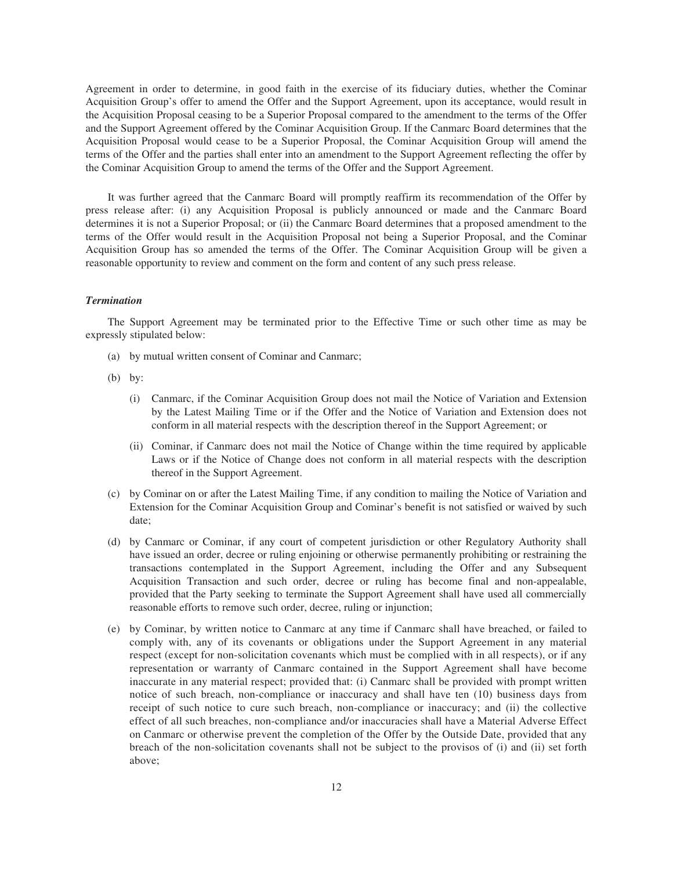Agreement in order to determine, in good faith in the exercise of its fiduciary duties, whether the Cominar Acquisition Group's offer to amend the Offer and the Support Agreement, upon its acceptance, would result in the Acquisition Proposal ceasing to be a Superior Proposal compared to the amendment to the terms of the Offer and the Support Agreement offered by the Cominar Acquisition Group. If the Canmarc Board determines that the Acquisition Proposal would cease to be a Superior Proposal, the Cominar Acquisition Group will amend the terms of the Offer and the parties shall enter into an amendment to the Support Agreement reflecting the offer by the Cominar Acquisition Group to amend the terms of the Offer and the Support Agreement.

It was further agreed that the Canmarc Board will promptly reaffirm its recommendation of the Offer by press release after: (i) any Acquisition Proposal is publicly announced or made and the Canmarc Board determines it is not a Superior Proposal; or (ii) the Canmarc Board determines that a proposed amendment to the terms of the Offer would result in the Acquisition Proposal not being a Superior Proposal, and the Cominar Acquisition Group has so amended the terms of the Offer. The Cominar Acquisition Group will be given a reasonable opportunity to review and comment on the form and content of any such press release.

# *Termination*

The Support Agreement may be terminated prior to the Effective Time or such other time as may be expressly stipulated below:

- (a) by mutual written consent of Cominar and Canmarc;
- (b) by:
	- (i) Canmarc, if the Cominar Acquisition Group does not mail the Notice of Variation and Extension by the Latest Mailing Time or if the Offer and the Notice of Variation and Extension does not conform in all material respects with the description thereof in the Support Agreement; or
	- (ii) Cominar, if Canmarc does not mail the Notice of Change within the time required by applicable Laws or if the Notice of Change does not conform in all material respects with the description thereof in the Support Agreement.
- (c) by Cominar on or after the Latest Mailing Time, if any condition to mailing the Notice of Variation and Extension for the Cominar Acquisition Group and Cominar's benefit is not satisfied or waived by such date;
- (d) by Canmarc or Cominar, if any court of competent jurisdiction or other Regulatory Authority shall have issued an order, decree or ruling enjoining or otherwise permanently prohibiting or restraining the transactions contemplated in the Support Agreement, including the Offer and any Subsequent Acquisition Transaction and such order, decree or ruling has become final and non-appealable, provided that the Party seeking to terminate the Support Agreement shall have used all commercially reasonable efforts to remove such order, decree, ruling or injunction;
- (e) by Cominar, by written notice to Canmarc at any time if Canmarc shall have breached, or failed to comply with, any of its covenants or obligations under the Support Agreement in any material respect (except for non-solicitation covenants which must be complied with in all respects), or if any representation or warranty of Canmarc contained in the Support Agreement shall have become inaccurate in any material respect; provided that: (i) Canmarc shall be provided with prompt written notice of such breach, non-compliance or inaccuracy and shall have ten (10) business days from receipt of such notice to cure such breach, non-compliance or inaccuracy; and (ii) the collective effect of all such breaches, non-compliance and/or inaccuracies shall have a Material Adverse Effect on Canmarc or otherwise prevent the completion of the Offer by the Outside Date, provided that any breach of the non-solicitation covenants shall not be subject to the provisos of (i) and (ii) set forth above;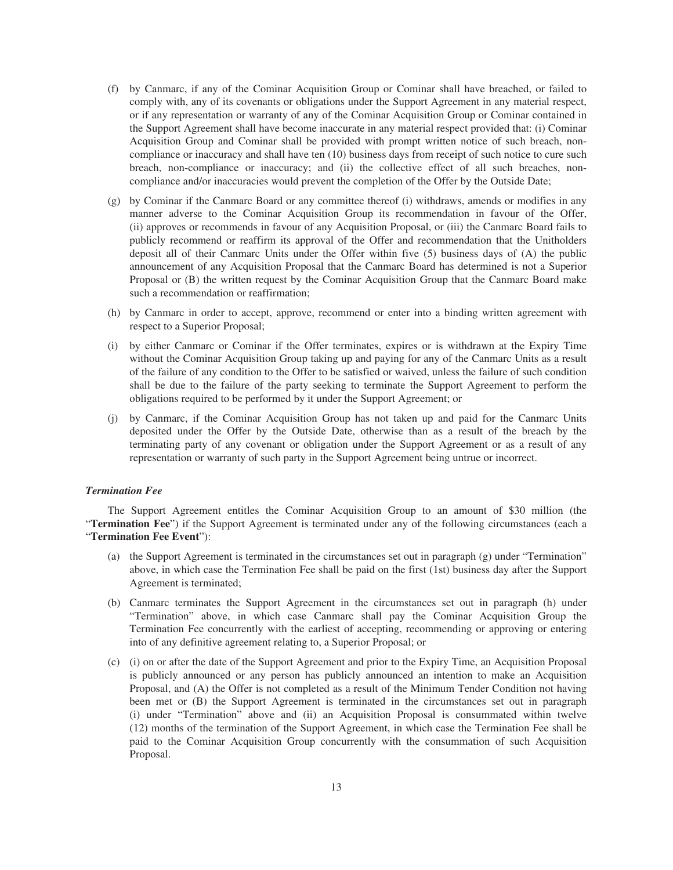- (f) by Canmarc, if any of the Cominar Acquisition Group or Cominar shall have breached, or failed to comply with, any of its covenants or obligations under the Support Agreement in any material respect, or if any representation or warranty of any of the Cominar Acquisition Group or Cominar contained in the Support Agreement shall have become inaccurate in any material respect provided that: (i) Cominar Acquisition Group and Cominar shall be provided with prompt written notice of such breach, noncompliance or inaccuracy and shall have ten (10) business days from receipt of such notice to cure such breach, non-compliance or inaccuracy; and (ii) the collective effect of all such breaches, noncompliance and/or inaccuracies would prevent the completion of the Offer by the Outside Date;
- (g) by Cominar if the Canmarc Board or any committee thereof (i) withdraws, amends or modifies in any manner adverse to the Cominar Acquisition Group its recommendation in favour of the Offer, (ii) approves or recommends in favour of any Acquisition Proposal, or (iii) the Canmarc Board fails to publicly recommend or reaffirm its approval of the Offer and recommendation that the Unitholders deposit all of their Canmarc Units under the Offer within five (5) business days of (A) the public announcement of any Acquisition Proposal that the Canmarc Board has determined is not a Superior Proposal or (B) the written request by the Cominar Acquisition Group that the Canmarc Board make such a recommendation or reaffirmation;
- (h) by Canmarc in order to accept, approve, recommend or enter into a binding written agreement with respect to a Superior Proposal;
- (i) by either Canmarc or Cominar if the Offer terminates, expires or is withdrawn at the Expiry Time without the Cominar Acquisition Group taking up and paying for any of the Canmarc Units as a result of the failure of any condition to the Offer to be satisfied or waived, unless the failure of such condition shall be due to the failure of the party seeking to terminate the Support Agreement to perform the obligations required to be performed by it under the Support Agreement; or
- (j) by Canmarc, if the Cominar Acquisition Group has not taken up and paid for the Canmarc Units deposited under the Offer by the Outside Date, otherwise than as a result of the breach by the terminating party of any covenant or obligation under the Support Agreement or as a result of any representation or warranty of such party in the Support Agreement being untrue or incorrect.

# *Termination Fee*

The Support Agreement entitles the Cominar Acquisition Group to an amount of \$30 million (the "**Termination Fee**") if the Support Agreement is terminated under any of the following circumstances (each a "**Termination Fee Event**"):

- (a) the Support Agreement is terminated in the circumstances set out in paragraph (g) under "Termination" above, in which case the Termination Fee shall be paid on the first (1st) business day after the Support Agreement is terminated;
- (b) Canmarc terminates the Support Agreement in the circumstances set out in paragraph (h) under "Termination" above, in which case Canmarc shall pay the Cominar Acquisition Group the Termination Fee concurrently with the earliest of accepting, recommending or approving or entering into of any definitive agreement relating to, a Superior Proposal; or
- (c) (i) on or after the date of the Support Agreement and prior to the Expiry Time, an Acquisition Proposal is publicly announced or any person has publicly announced an intention to make an Acquisition Proposal, and (A) the Offer is not completed as a result of the Minimum Tender Condition not having been met or (B) the Support Agreement is terminated in the circumstances set out in paragraph (i) under "Termination" above and (ii) an Acquisition Proposal is consummated within twelve (12) months of the termination of the Support Agreement, in which case the Termination Fee shall be paid to the Cominar Acquisition Group concurrently with the consummation of such Acquisition Proposal.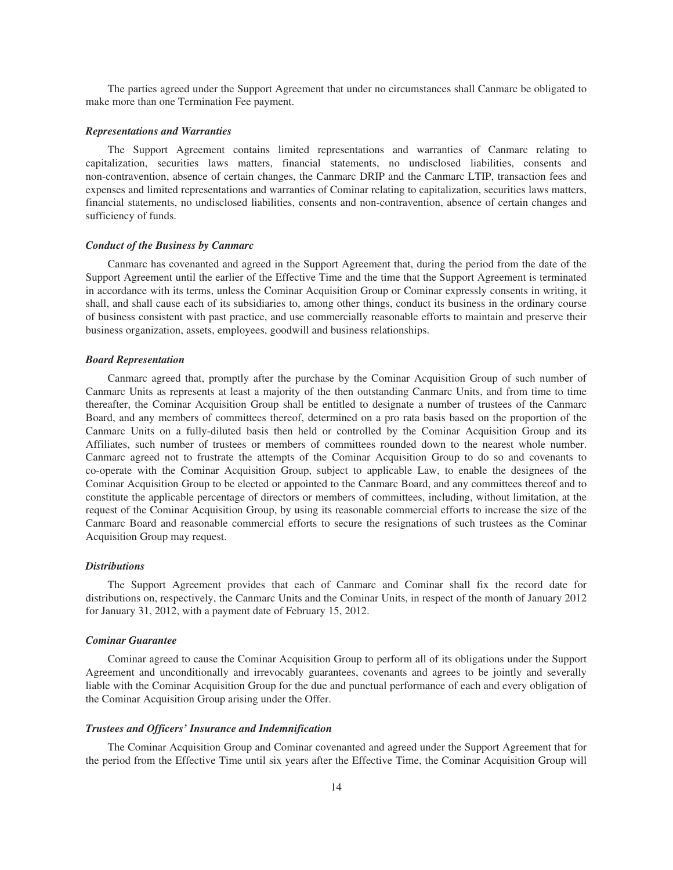The parties agreed under the Support Agreement that under no circumstances shall Canmarc be obligated to make more than one Termination Fee payment.

### *Representations and Warranties*

The Support Agreement contains limited representations and warranties of Canmarc relating to capitalization, securities laws matters, financial statements, no undisclosed liabilities, consents and non-contravention, absence of certain changes, the Canmarc DRIP and the Canmarc LTIP, transaction fees and expenses and limited representations and warranties of Cominar relating to capitalization, securities laws matters, financial statements, no undisclosed liabilities, consents and non-contravention, absence of certain changes and sufficiency of funds.

#### *Conduct of the Business by Canmarc*

Canmarc has covenanted and agreed in the Support Agreement that, during the period from the date of the Support Agreement until the earlier of the Effective Time and the time that the Support Agreement is terminated in accordance with its terms, unless the Cominar Acquisition Group or Cominar expressly consents in writing, it shall, and shall cause each of its subsidiaries to, among other things, conduct its business in the ordinary course of business consistent with past practice, and use commercially reasonable efforts to maintain and preserve their business organization, assets, employees, goodwill and business relationships.

### *Board Representation*

Canmarc agreed that, promptly after the purchase by the Cominar Acquisition Group of such number of Canmarc Units as represents at least a majority of the then outstanding Canmarc Units, and from time to time thereafter, the Cominar Acquisition Group shall be entitled to designate a number of trustees of the Canmarc Board, and any members of committees thereof, determined on a pro rata basis based on the proportion of the Canmarc Units on a fully-diluted basis then held or controlled by the Cominar Acquisition Group and its Affiliates, such number of trustees or members of committees rounded down to the nearest whole number. Canmarc agreed not to frustrate the attempts of the Cominar Acquisition Group to do so and covenants to co-operate with the Cominar Acquisition Group, subject to applicable Law, to enable the designees of the Cominar Acquisition Group to be elected or appointed to the Canmarc Board, and any committees thereof and to constitute the applicable percentage of directors or members of committees, including, without limitation, at the request of the Cominar Acquisition Group, by using its reasonable commercial efforts to increase the size of the Canmarc Board and reasonable commercial efforts to secure the resignations of such trustees as the Cominar Acquisition Group may request.

## *Distributions*

The Support Agreement provides that each of Canmarc and Cominar shall fix the record date for distributions on, respectively, the Canmarc Units and the Cominar Units, in respect of the month of January 2012 for January 31, 2012, with a payment date of February 15, 2012.

# *Cominar Guarantee*

Cominar agreed to cause the Cominar Acquisition Group to perform all of its obligations under the Support Agreement and unconditionally and irrevocably guarantees, covenants and agrees to be jointly and severally liable with the Cominar Acquisition Group for the due and punctual performance of each and every obligation of the Cominar Acquisition Group arising under the Offer.

#### *Trustees and Officers' Insurance and Indemnification*

The Cominar Acquisition Group and Cominar covenanted and agreed under the Support Agreement that for the period from the Effective Time until six years after the Effective Time, the Cominar Acquisition Group will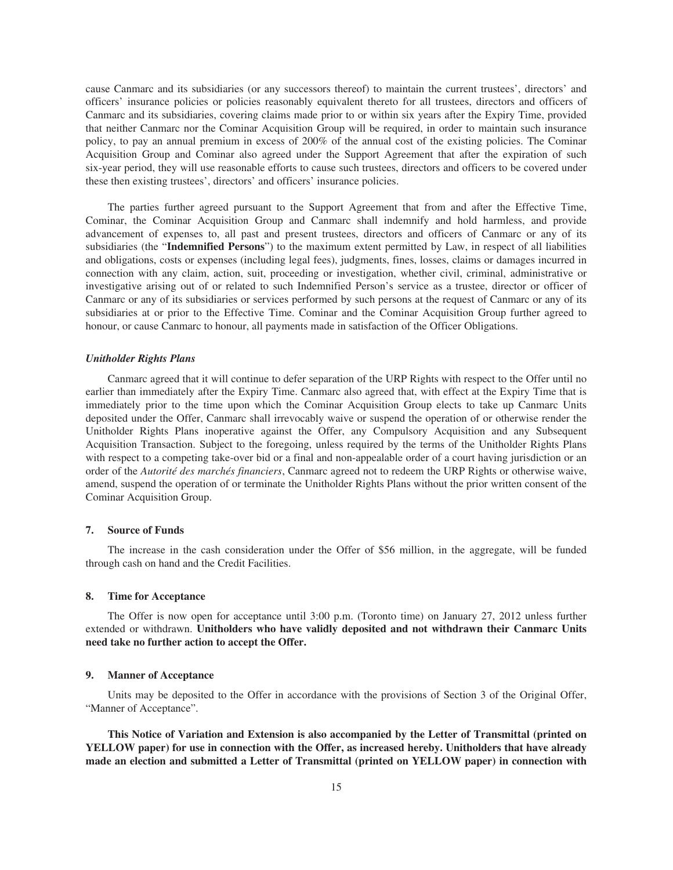cause Canmarc and its subsidiaries (or any successors thereof) to maintain the current trustees', directors' and officers' insurance policies or policies reasonably equivalent thereto for all trustees, directors and officers of Canmarc and its subsidiaries, covering claims made prior to or within six years after the Expiry Time, provided that neither Canmarc nor the Cominar Acquisition Group will be required, in order to maintain such insurance policy, to pay an annual premium in excess of 200% of the annual cost of the existing policies. The Cominar Acquisition Group and Cominar also agreed under the Support Agreement that after the expiration of such six-year period, they will use reasonable efforts to cause such trustees, directors and officers to be covered under these then existing trustees', directors' and officers' insurance policies.

The parties further agreed pursuant to the Support Agreement that from and after the Effective Time, Cominar, the Cominar Acquisition Group and Canmarc shall indemnify and hold harmless, and provide advancement of expenses to, all past and present trustees, directors and officers of Canmarc or any of its subsidiaries (the "**Indemnified Persons**") to the maximum extent permitted by Law, in respect of all liabilities and obligations, costs or expenses (including legal fees), judgments, fines, losses, claims or damages incurred in connection with any claim, action, suit, proceeding or investigation, whether civil, criminal, administrative or investigative arising out of or related to such Indemnified Person's service as a trustee, director or officer of Canmarc or any of its subsidiaries or services performed by such persons at the request of Canmarc or any of its subsidiaries at or prior to the Effective Time. Cominar and the Cominar Acquisition Group further agreed to honour, or cause Canmarc to honour, all payments made in satisfaction of the Officer Obligations.

#### *Unitholder Rights Plans*

Canmarc agreed that it will continue to defer separation of the URP Rights with respect to the Offer until no earlier than immediately after the Expiry Time. Canmarc also agreed that, with effect at the Expiry Time that is immediately prior to the time upon which the Cominar Acquisition Group elects to take up Canmarc Units deposited under the Offer, Canmarc shall irrevocably waive or suspend the operation of or otherwise render the Unitholder Rights Plans inoperative against the Offer, any Compulsory Acquisition and any Subsequent Acquisition Transaction. Subject to the foregoing, unless required by the terms of the Unitholder Rights Plans with respect to a competing take-over bid or a final and non-appealable order of a court having jurisdiction or an order of the *Autorité des marchés financiers*, Canmarc agreed not to redeem the URP Rights or otherwise waive, amend, suspend the operation of or terminate the Unitholder Rights Plans without the prior written consent of the Cominar Acquisition Group.

# **7. Source of Funds**

The increase in the cash consideration under the Offer of \$56 million, in the aggregate, will be funded through cash on hand and the Credit Facilities.

# **8. Time for Acceptance**

The Offer is now open for acceptance until 3:00 p.m. (Toronto time) on January 27, 2012 unless further extended or withdrawn. **Unitholders who have validly deposited and not withdrawn their Canmarc Units need take no further action to accept the Offer.**

# **9. Manner of Acceptance**

Units may be deposited to the Offer in accordance with the provisions of Section 3 of the Original Offer, "Manner of Acceptance".

**This Notice of Variation and Extension is also accompanied by the Letter of Transmittal (printed on YELLOW paper) for use in connection with the Offer, as increased hereby. Unitholders that have already made an election and submitted a Letter of Transmittal (printed on YELLOW paper) in connection with**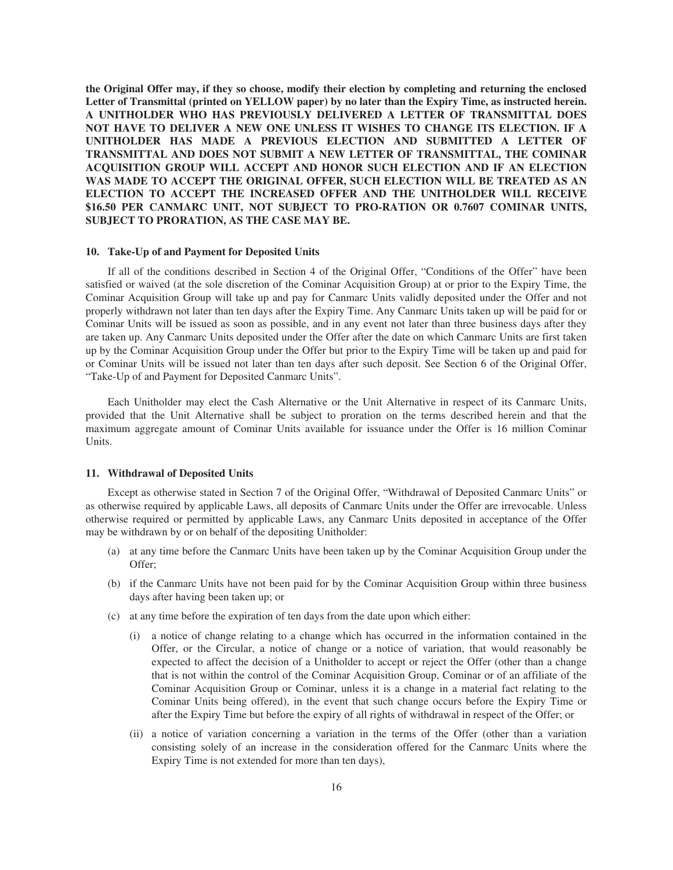**the Original Offer may, if they so choose, modify their election by completing and returning the enclosed Letter of Transmittal (printed on YELLOW paper) by no later than the Expiry Time, as instructed herein. A UNITHOLDER WHO HAS PREVIOUSLY DELIVERED A LETTER OF TRANSMITTAL DOES NOT HAVE TO DELIVER A NEW ONE UNLESS IT WISHES TO CHANGE ITS ELECTION. IF A UNITHOLDER HAS MADE A PREVIOUS ELECTION AND SUBMITTED A LETTER OF TRANSMITTAL AND DOES NOT SUBMIT A NEW LETTER OF TRANSMITTAL, THE COMINAR ACQUISITION GROUP WILL ACCEPT AND HONOR SUCH ELECTION AND IF AN ELECTION WAS MADE TO ACCEPT THE ORIGINAL OFFER, SUCH ELECTION WILL BE TREATED AS AN ELECTION TO ACCEPT THE INCREASED OFFER AND THE UNITHOLDER WILL RECEIVE \$16.50 PER CANMARC UNIT, NOT SUBJECT TO PRO-RATION OR 0.7607 COMINAR UNITS, SUBJECT TO PRORATION, AS THE CASE MAY BE.**

### **10. Take-Up of and Payment for Deposited Units**

If all of the conditions described in Section 4 of the Original Offer, "Conditions of the Offer" have been satisfied or waived (at the sole discretion of the Cominar Acquisition Group) at or prior to the Expiry Time, the Cominar Acquisition Group will take up and pay for Canmarc Units validly deposited under the Offer and not properly withdrawn not later than ten days after the Expiry Time. Any Canmarc Units taken up will be paid for or Cominar Units will be issued as soon as possible, and in any event not later than three business days after they are taken up. Any Canmarc Units deposited under the Offer after the date on which Canmarc Units are first taken up by the Cominar Acquisition Group under the Offer but prior to the Expiry Time will be taken up and paid for or Cominar Units will be issued not later than ten days after such deposit. See Section 6 of the Original Offer, "Take-Up of and Payment for Deposited Canmarc Units".

Each Unitholder may elect the Cash Alternative or the Unit Alternative in respect of its Canmarc Units, provided that the Unit Alternative shall be subject to proration on the terms described herein and that the maximum aggregate amount of Cominar Units available for issuance under the Offer is 16 million Cominar Units.

# **11. Withdrawal of Deposited Units**

Except as otherwise stated in Section 7 of the Original Offer, "Withdrawal of Deposited Canmarc Units" or as otherwise required by applicable Laws, all deposits of Canmarc Units under the Offer are irrevocable. Unless otherwise required or permitted by applicable Laws, any Canmarc Units deposited in acceptance of the Offer may be withdrawn by or on behalf of the depositing Unitholder:

- (a) at any time before the Canmarc Units have been taken up by the Cominar Acquisition Group under the Offer;
- (b) if the Canmarc Units have not been paid for by the Cominar Acquisition Group within three business days after having been taken up; or
- (c) at any time before the expiration of ten days from the date upon which either:
	- (i) a notice of change relating to a change which has occurred in the information contained in the Offer, or the Circular, a notice of change or a notice of variation, that would reasonably be expected to affect the decision of a Unitholder to accept or reject the Offer (other than a change that is not within the control of the Cominar Acquisition Group, Cominar or of an affiliate of the Cominar Acquisition Group or Cominar, unless it is a change in a material fact relating to the Cominar Units being offered), in the event that such change occurs before the Expiry Time or after the Expiry Time but before the expiry of all rights of withdrawal in respect of the Offer; or
	- (ii) a notice of variation concerning a variation in the terms of the Offer (other than a variation consisting solely of an increase in the consideration offered for the Canmarc Units where the Expiry Time is not extended for more than ten days),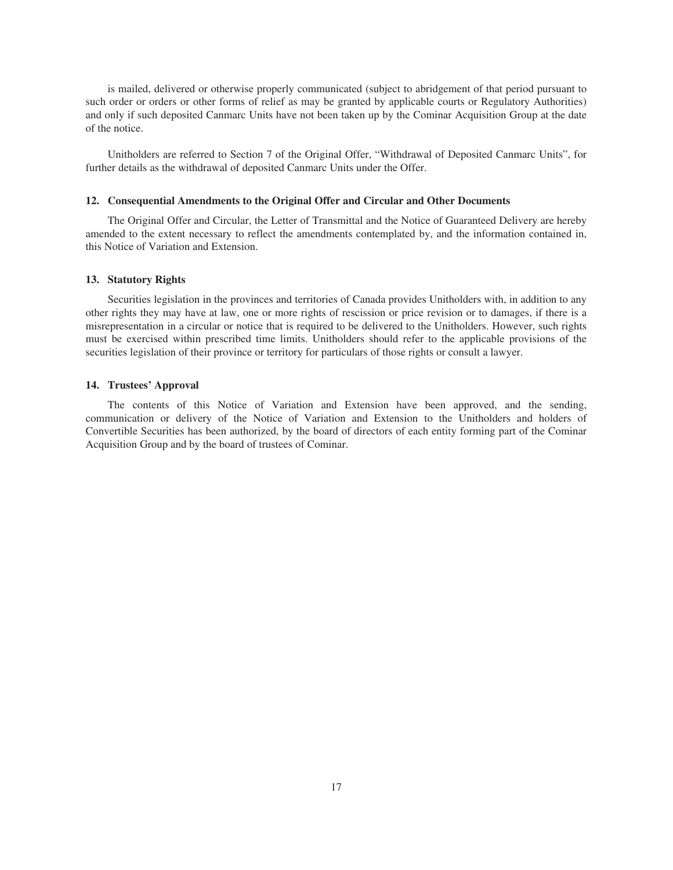is mailed, delivered or otherwise properly communicated (subject to abridgement of that period pursuant to such order or orders or other forms of relief as may be granted by applicable courts or Regulatory Authorities) and only if such deposited Canmarc Units have not been taken up by the Cominar Acquisition Group at the date of the notice.

Unitholders are referred to Section 7 of the Original Offer, "Withdrawal of Deposited Canmarc Units", for further details as the withdrawal of deposited Canmarc Units under the Offer.

### **12. Consequential Amendments to the Original Offer and Circular and Other Documents**

The Original Offer and Circular, the Letter of Transmittal and the Notice of Guaranteed Delivery are hereby amended to the extent necessary to reflect the amendments contemplated by, and the information contained in, this Notice of Variation and Extension.

# **13. Statutory Rights**

Securities legislation in the provinces and territories of Canada provides Unitholders with, in addition to any other rights they may have at law, one or more rights of rescission or price revision or to damages, if there is a misrepresentation in a circular or notice that is required to be delivered to the Unitholders. However, such rights must be exercised within prescribed time limits. Unitholders should refer to the applicable provisions of the securities legislation of their province or territory for particulars of those rights or consult a lawyer.

### **14. Trustees' Approval**

The contents of this Notice of Variation and Extension have been approved, and the sending, communication or delivery of the Notice of Variation and Extension to the Unitholders and holders of Convertible Securities has been authorized, by the board of directors of each entity forming part of the Cominar Acquisition Group and by the board of trustees of Cominar.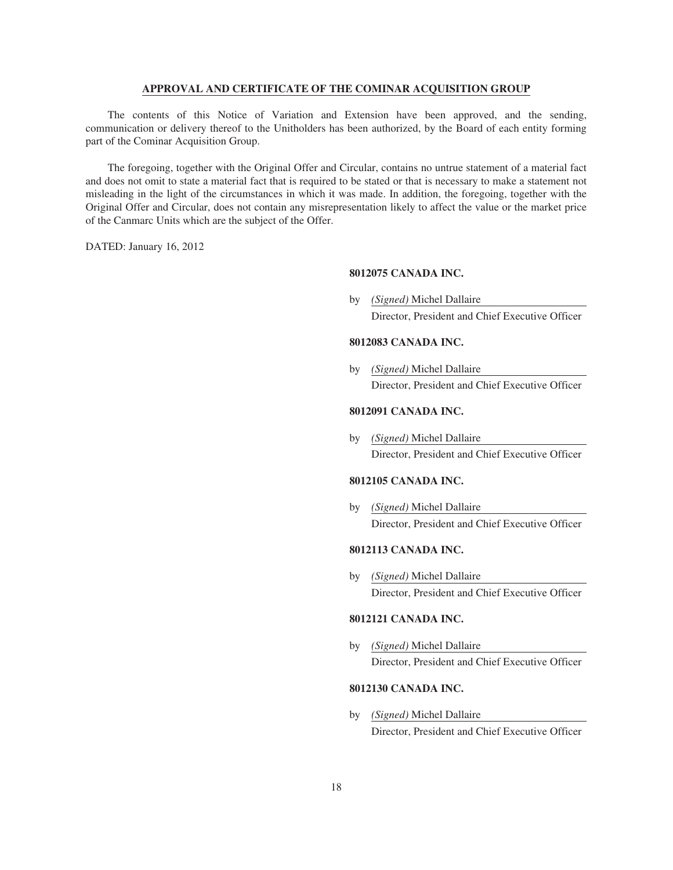# **APPROVAL AND CERTIFICATE OF THE COMINAR ACQUISITION GROUP**

The contents of this Notice of Variation and Extension have been approved, and the sending, communication or delivery thereof to the Unitholders has been authorized, by the Board of each entity forming part of the Cominar Acquisition Group.

The foregoing, together with the Original Offer and Circular, contains no untrue statement of a material fact and does not omit to state a material fact that is required to be stated or that is necessary to make a statement not misleading in the light of the circumstances in which it was made. In addition, the foregoing, together with the Original Offer and Circular, does not contain any misrepresentation likely to affect the value or the market price of the Canmarc Units which are the subject of the Offer.

DATED: January 16, 2012

# **8012075 CANADA INC.**

by *(Signed)* Michel Dallaire Director, President and Chief Executive Officer

# **8012083 CANADA INC.**

by *(Signed)* Michel Dallaire Director, President and Chief Executive Officer

# **8012091 CANADA INC.**

by *(Signed)* Michel Dallaire Director, President and Chief Executive Officer

# **8012105 CANADA INC.**

by *(Signed)* Michel Dallaire Director, President and Chief Executive Officer

# **8012113 CANADA INC.**

by *(Signed)* Michel Dallaire Director, President and Chief Executive Officer

# **8012121 CANADA INC.**

by *(Signed)* Michel Dallaire Director, President and Chief Executive Officer

# **8012130 CANADA INC.**

by *(Signed)* Michel Dallaire Director, President and Chief Executive Officer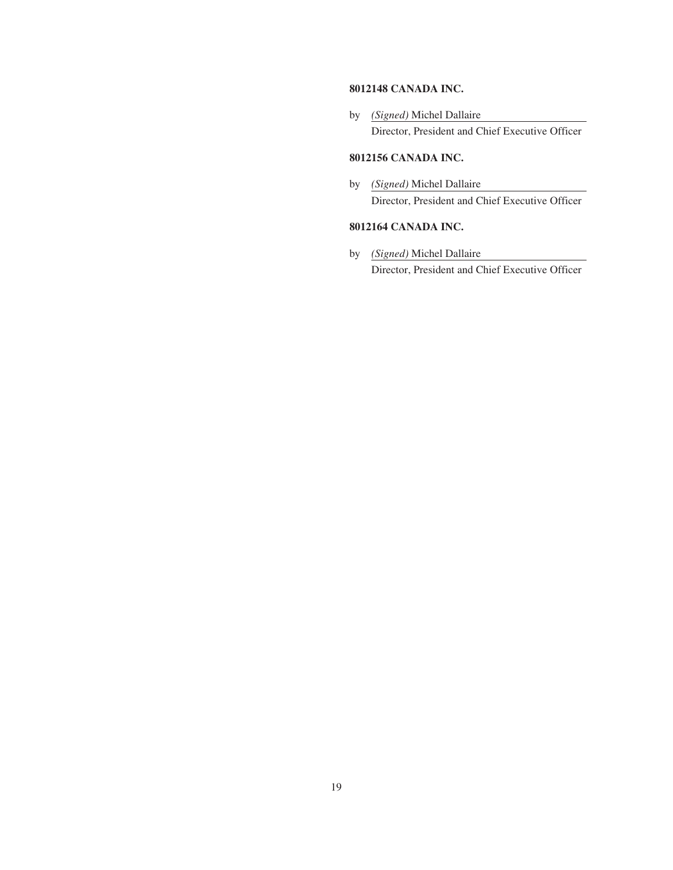# **8012148 CANADA INC.**

by *(Signed)* Michel Dallaire Director, President and Chief Executive Officer

# **8012156 CANADA INC.**

by *(Signed)* Michel Dallaire Director, President and Chief Executive Officer

# **8012164 CANADA INC.**

by *(Signed)* Michel Dallaire Director, President and Chief Executive Officer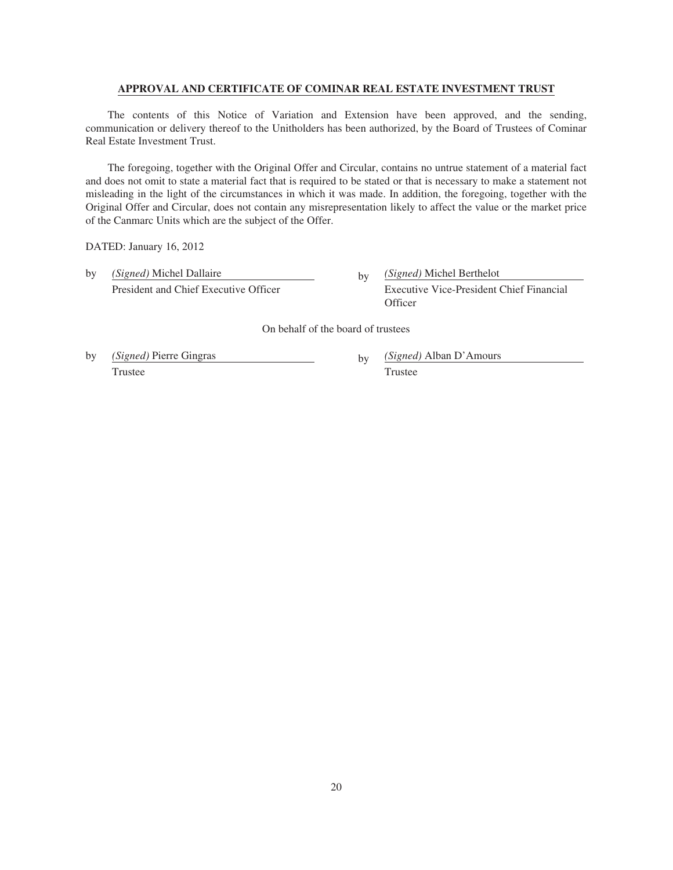# **APPROVAL AND CERTIFICATE OF COMINAR REAL ESTATE INVESTMENT TRUST**

The contents of this Notice of Variation and Extension have been approved, and the sending, communication or delivery thereof to the Unitholders has been authorized, by the Board of Trustees of Cominar Real Estate Investment Trust.

The foregoing, together with the Original Offer and Circular, contains no untrue statement of a material fact and does not omit to state a material fact that is required to be stated or that is necessary to make a statement not misleading in the light of the circumstances in which it was made. In addition, the foregoing, together with the Original Offer and Circular, does not contain any misrepresentation likely to affect the value or the market price of the Canmarc Units which are the subject of the Offer.

DATED: January 16, 2012

by *(Signed)* Michel Dallaire by *(Signed)* Michel Berthelot President and Chief Executive Officer Executive Vice-President Chief Financial

**Officer** 

On behalf of the board of trustees

by *(Signed)* Pierre Gingras by *(Signed)* Alban D'Amours Trustee Trustee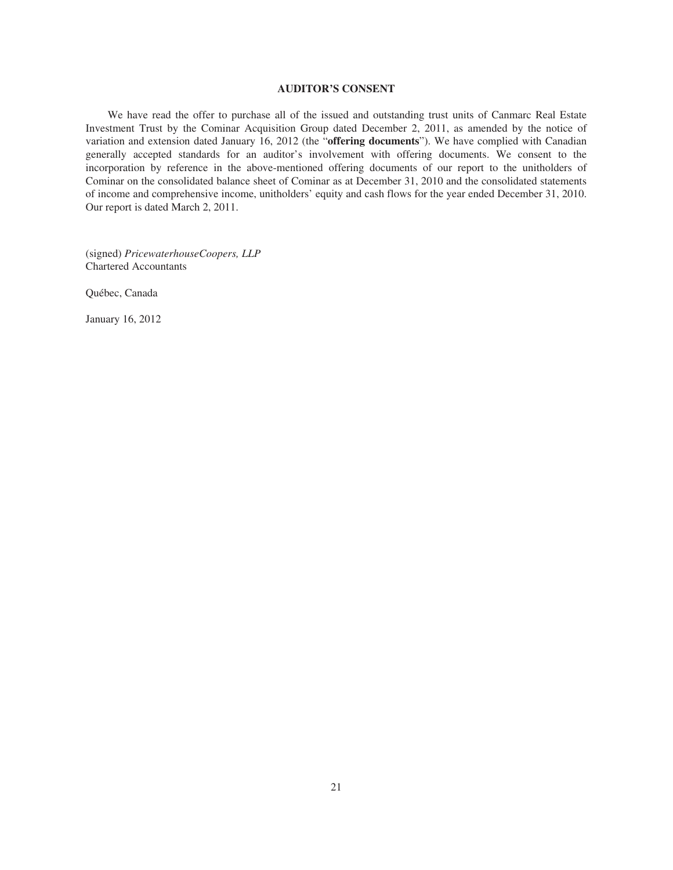### **AUDITOR'S CONSENT**

We have read the offer to purchase all of the issued and outstanding trust units of Canmarc Real Estate Investment Trust by the Cominar Acquisition Group dated December 2, 2011, as amended by the notice of variation and extension dated January 16, 2012 (the "**offering documents**"). We have complied with Canadian generally accepted standards for an auditor's involvement with offering documents. We consent to the incorporation by reference in the above-mentioned offering documents of our report to the unitholders of Cominar on the consolidated balance sheet of Cominar as at December 31, 2010 and the consolidated statements of income and comprehensive income, unitholders' equity and cash flows for the year ended December 31, 2010. Our report is dated March 2, 2011.

(signed) *PricewaterhouseCoopers, LLP* Chartered Accountants

Québec, Canada

January 16, 2012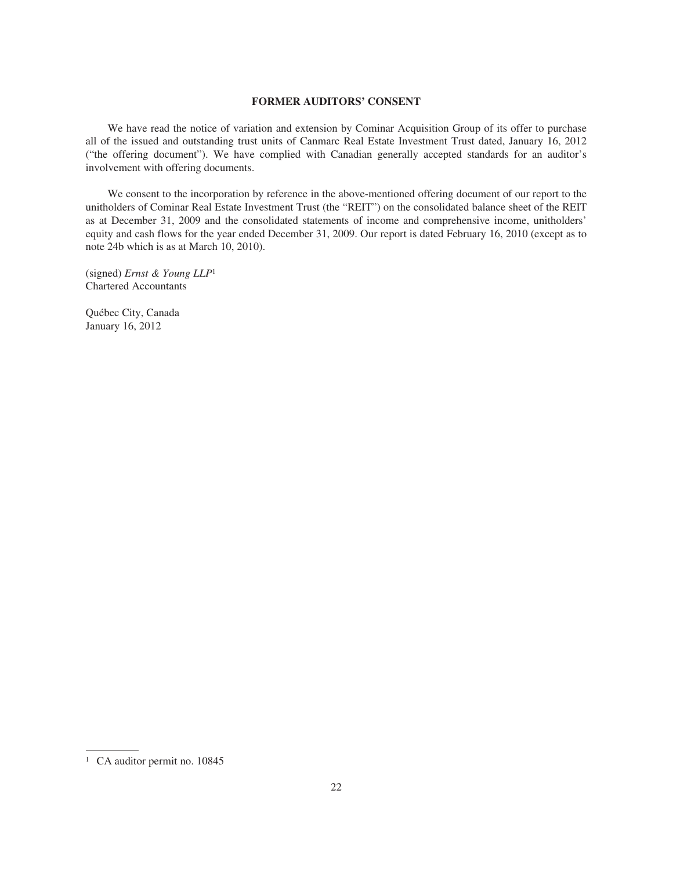# **FORMER AUDITORS' CONSENT**

We have read the notice of variation and extension by Cominar Acquisition Group of its offer to purchase all of the issued and outstanding trust units of Canmarc Real Estate Investment Trust dated, January 16, 2012 ("the offering document"). We have complied with Canadian generally accepted standards for an auditor's involvement with offering documents.

We consent to the incorporation by reference in the above-mentioned offering document of our report to the unitholders of Cominar Real Estate Investment Trust (the "REIT") on the consolidated balance sheet of the REIT as at December 31, 2009 and the consolidated statements of income and comprehensive income, unitholders' equity and cash flows for the year ended December 31, 2009. Our report is dated February 16, 2010 (except as to note 24b which is as at March 10, 2010).

(signed) *Ernst & Young LLP*<sup>1</sup> Chartered Accountants

Québec City, Canada January 16, 2012

<sup>&</sup>lt;sup>1</sup> CA auditor permit no. 10845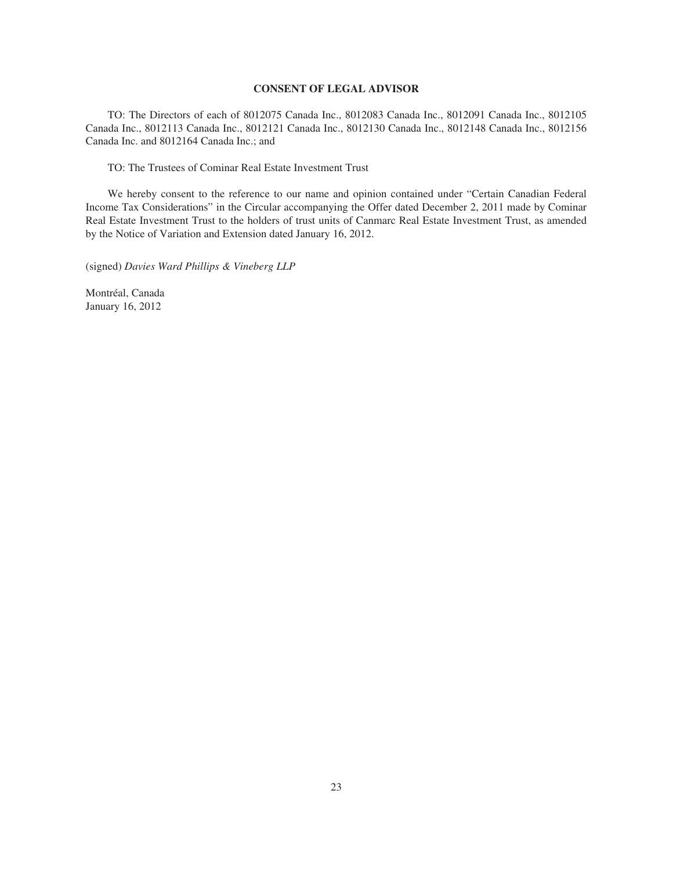### **CONSENT OF LEGAL ADVISOR**

TO: The Directors of each of 8012075 Canada Inc., 8012083 Canada Inc., 8012091 Canada Inc., 8012105 Canada Inc., 8012113 Canada Inc., 8012121 Canada Inc., 8012130 Canada Inc., 8012148 Canada Inc., 8012156 Canada Inc. and 8012164 Canada Inc.; and

TO: The Trustees of Cominar Real Estate Investment Trust

We hereby consent to the reference to our name and opinion contained under "Certain Canadian Federal Income Tax Considerations" in the Circular accompanying the Offer dated December 2, 2011 made by Cominar Real Estate Investment Trust to the holders of trust units of Canmarc Real Estate Investment Trust, as amended by the Notice of Variation and Extension dated January 16, 2012.

(signed) *Davies Ward Phillips & Vineberg LLP*

Montréal, Canada January 16, 2012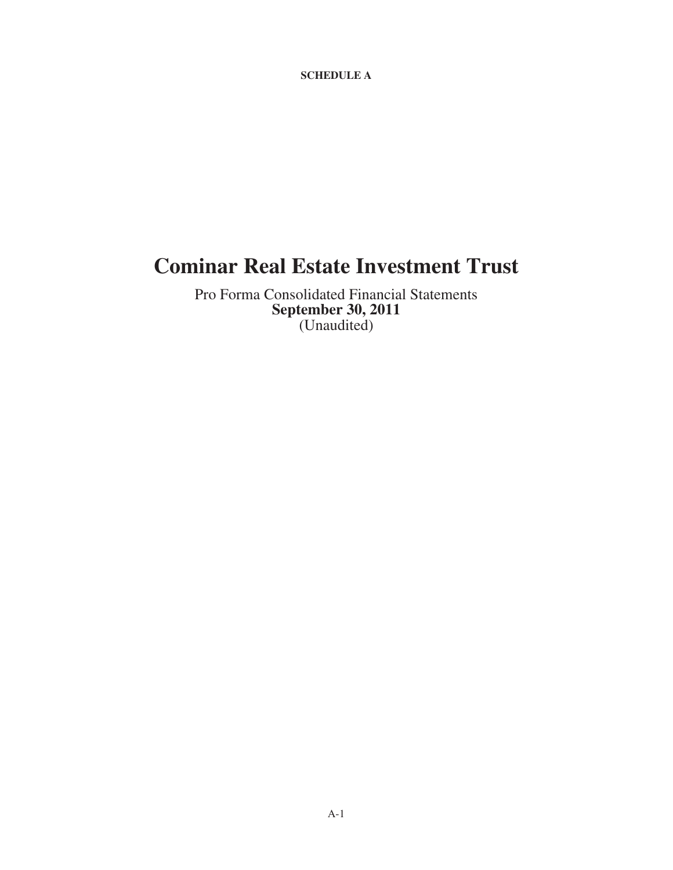**SCHEDULE A**

# **Cominar Real Estate Investment Trust**

Pro Forma Consolidated Financial Statements **September 30, 2011** (Unaudited)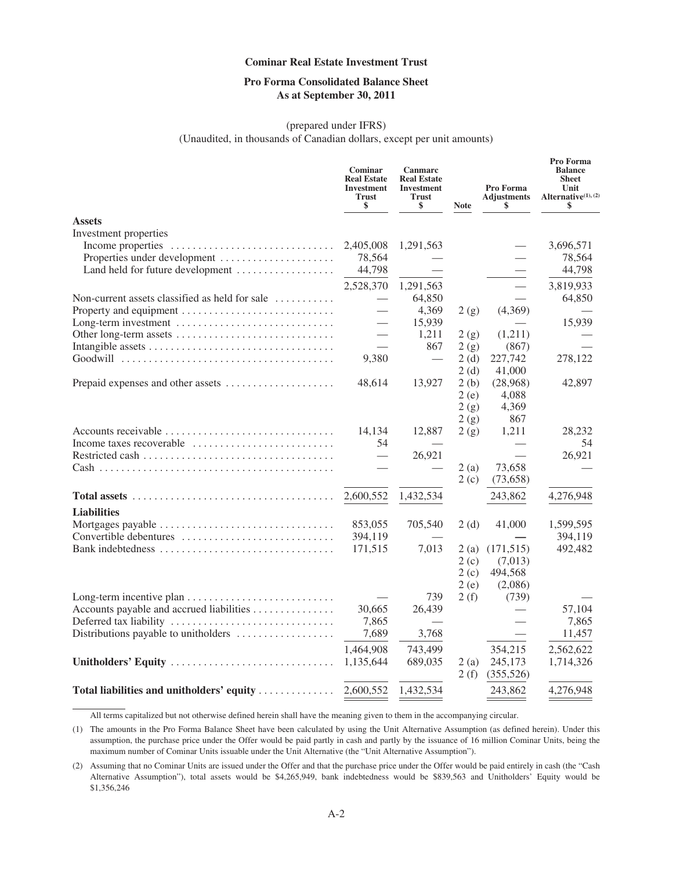# **Pro Forma Consolidated Balance Sheet As at September 30, 2011**

# (prepared under IFRS) (Unaudited, in thousands of Canadian dollars, except per unit amounts)

|                                                                                             | <b>Cominar</b><br><b>Real Estate</b><br><b>Investment</b><br><b>Trust</b><br>\$ | Canmarc<br><b>Real Estate</b><br><b>Investment</b><br><b>Trust</b><br>\$ | <b>Note</b> | Pro Forma<br><b>Adjustments</b><br>\$ | Pro Forma<br><b>Balance</b><br><b>Sheet</b><br>Unit<br>Alternative <sup>(1)</sup> , <sup>(2)</sup><br>\$ |
|---------------------------------------------------------------------------------------------|---------------------------------------------------------------------------------|--------------------------------------------------------------------------|-------------|---------------------------------------|----------------------------------------------------------------------------------------------------------|
| <b>Assets</b>                                                                               |                                                                                 |                                                                          |             |                                       |                                                                                                          |
| Investment properties                                                                       |                                                                                 |                                                                          |             |                                       |                                                                                                          |
|                                                                                             | 2,405,008                                                                       | 1,291,563                                                                |             |                                       | 3,696,571                                                                                                |
| Properties under development                                                                | 78,564                                                                          |                                                                          |             |                                       | 78,564                                                                                                   |
| Land held for future development                                                            | 44,798                                                                          |                                                                          |             |                                       | 44,798                                                                                                   |
|                                                                                             | 2,528,370                                                                       | 1,291,563                                                                |             |                                       | 3,819,933                                                                                                |
| Non-current assets classified as held for sale $\dots\dots\dots$                            |                                                                                 | 64,850                                                                   |             |                                       | 64,850                                                                                                   |
|                                                                                             |                                                                                 | 4,369                                                                    | 2(g)        | (4,369)                               |                                                                                                          |
| Long-term investment                                                                        |                                                                                 | 15,939                                                                   |             |                                       | 15,939                                                                                                   |
|                                                                                             |                                                                                 | 1,211                                                                    | 2(g)        | (1,211)                               |                                                                                                          |
|                                                                                             |                                                                                 | 867                                                                      | 2(g)        | (867)                                 |                                                                                                          |
|                                                                                             | 9,380                                                                           | $\overline{\phantom{0}}$                                                 | 2(d)        | 227,742                               | 278,122                                                                                                  |
|                                                                                             |                                                                                 |                                                                          | 2(d)        | 41,000                                |                                                                                                          |
| Prepaid expenses and other assets                                                           | 48,614                                                                          | 13,927                                                                   | 2(b)        | (28,968)                              | 42,897                                                                                                   |
|                                                                                             |                                                                                 |                                                                          | 2(e)        | 4,088                                 |                                                                                                          |
|                                                                                             |                                                                                 |                                                                          | 2(g)        | 4,369                                 |                                                                                                          |
|                                                                                             |                                                                                 |                                                                          | 2(g)        | 867                                   |                                                                                                          |
| Accounts receivable                                                                         | 14,134                                                                          | 12,887                                                                   | 2(g)        | 1,211                                 | 28,232                                                                                                   |
| Income taxes recoverable $\dots\dots\dots\dots\dots\dots\dots\dots\dots$                    | 54                                                                              |                                                                          |             |                                       | 54                                                                                                       |
|                                                                                             | $\overline{\phantom{0}}$                                                        | 26,921                                                                   |             |                                       | 26,921                                                                                                   |
|                                                                                             |                                                                                 |                                                                          | 2(a)        | 73,658                                |                                                                                                          |
|                                                                                             |                                                                                 |                                                                          | 2(c)        | (73, 658)                             |                                                                                                          |
| Total assets $\ldots \ldots \ldots \ldots \ldots \ldots \ldots \ldots \ldots \ldots \ldots$ | 2,600,552                                                                       | 1,432,534                                                                |             | 243,862                               | 4,276,948                                                                                                |
| <b>Liabilities</b>                                                                          |                                                                                 |                                                                          |             |                                       |                                                                                                          |
|                                                                                             | 853,055                                                                         | 705,540                                                                  | 2(d)        | 41,000                                | 1,599,595                                                                                                |
| Convertible debentures                                                                      | 394,119                                                                         |                                                                          |             |                                       | 394,119                                                                                                  |
| Bank indebtedness                                                                           | 171,515                                                                         | 7,013                                                                    | 2(a)        | (171, 515)                            | 492,482                                                                                                  |
|                                                                                             |                                                                                 |                                                                          | 2(c)        | (7,013)                               |                                                                                                          |
|                                                                                             |                                                                                 |                                                                          | 2(c)        | 494,568                               |                                                                                                          |
|                                                                                             |                                                                                 |                                                                          | 2(e)        | (2,086)                               |                                                                                                          |
|                                                                                             |                                                                                 | 739                                                                      | 2(f)        | (739)                                 |                                                                                                          |
| Accounts payable and accrued liabilities                                                    | 30,665                                                                          | 26,439                                                                   |             |                                       | 57,104                                                                                                   |
| Deferred tax liability                                                                      | 7,865                                                                           |                                                                          |             |                                       | 7,865                                                                                                    |
| Distributions payable to unitholders                                                        | 7,689                                                                           | 3,768                                                                    |             |                                       | 11,457                                                                                                   |
|                                                                                             | 1,464,908                                                                       | 743,499                                                                  |             | 354,215                               | 2,562,622                                                                                                |
| Unitholders' Equity                                                                         | 1,135,644                                                                       | 689,035                                                                  | 2(a)        | 245,173                               | 1,714,326                                                                                                |
|                                                                                             |                                                                                 |                                                                          | 2(f)        | (355,526)                             |                                                                                                          |
|                                                                                             |                                                                                 |                                                                          |             |                                       |                                                                                                          |
| Total liabilities and unitholders' equity                                                   | 2,600,552                                                                       | 1,432,534                                                                |             | 243,862                               | 4,276,948                                                                                                |

All terms capitalized but not otherwise defined herein shall have the meaning given to them in the accompanying circular.

(1) The amounts in the Pro Forma Balance Sheet have been calculated by using the Unit Alternative Assumption (as defined herein). Under this assumption, the purchase price under the Offer would be paid partly in cash and partly by the issuance of 16 million Cominar Units, being the maximum number of Cominar Units issuable under the Unit Alternative (the "Unit Alternative Assumption").

<sup>(2)</sup> Assuming that no Cominar Units are issued under the Offer and that the purchase price under the Offer would be paid entirely in cash (the "Cash Alternative Assumption"), total assets would be \$4,265,949, bank indebtedness would be \$839,563 and Unitholders' Equity would be \$1,356,246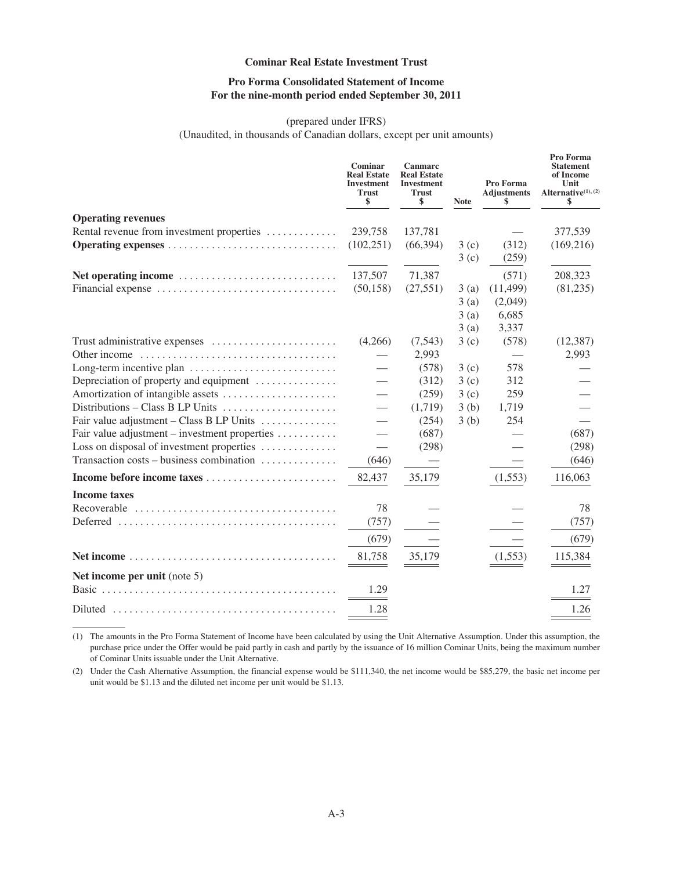# **Pro Forma Consolidated Statement of Income For the nine-month period ended September 30, 2011**

# (prepared under IFRS)

(Unaudited, in thousands of Canadian dollars, except per unit amounts)

|                                                              | Cominar<br><b>Real Estate</b><br><b>Investment</b><br><b>Trust</b><br>\$ | <b>Canmarc</b><br><b>Real Estate</b><br><b>Investment</b><br><b>Trust</b><br>\$ | <b>Note</b> | Pro Forma<br><b>Adjustments</b><br>\$ | Pro Forma<br><b>Statement</b><br>of Income<br>Unit<br>Alternative <sup>(1)</sup> , (2)<br>\$ |
|--------------------------------------------------------------|--------------------------------------------------------------------------|---------------------------------------------------------------------------------|-------------|---------------------------------------|----------------------------------------------------------------------------------------------|
| <b>Operating revenues</b>                                    |                                                                          |                                                                                 |             |                                       |                                                                                              |
| Rental revenue from investment properties                    | 239,758                                                                  | 137,781                                                                         |             |                                       | 377,539                                                                                      |
|                                                              | (102, 251)                                                               | (66, 394)                                                                       | 3(c)        | (312)                                 | (169, 216)                                                                                   |
|                                                              |                                                                          |                                                                                 | 3(c)        | (259)                                 |                                                                                              |
|                                                              | 137,507                                                                  | 71,387                                                                          |             | (571)                                 | 208,323                                                                                      |
|                                                              | (50, 158)                                                                | (27, 551)                                                                       | 3(a)        | (11, 499)                             | (81,235)                                                                                     |
|                                                              |                                                                          |                                                                                 | 3(a)        | (2,049)                               |                                                                                              |
|                                                              |                                                                          |                                                                                 | 3(a)        | 6,685                                 |                                                                                              |
|                                                              |                                                                          |                                                                                 | 3(a)        | 3,337                                 |                                                                                              |
|                                                              | (4,266)                                                                  | (7, 543)                                                                        | 3(c)        | (578)                                 | (12, 387)                                                                                    |
|                                                              |                                                                          | 2,993                                                                           |             |                                       | 2,993                                                                                        |
|                                                              |                                                                          | (578)                                                                           | 3(c)        | 578                                   |                                                                                              |
| Depreciation of property and equipment                       | $\overline{\phantom{0}}$                                                 | (312)                                                                           | 3(c)        | 312                                   |                                                                                              |
|                                                              | $\overline{\phantom{0}}$                                                 | (259)                                                                           | 3(c)        | 259                                   |                                                                                              |
| Distributions – Class B LP Units                             | $\overline{\phantom{0}}$                                                 | (1,719)                                                                         | 3(b)        | 1,719                                 |                                                                                              |
| Fair value adjustment – Class B LP Units $\dots \dots \dots$ |                                                                          | (254)                                                                           | 3(b)        | 254                                   |                                                                                              |
| Fair value adjustment – investment properties                | $\overline{\phantom{0}}$                                                 | (687)                                                                           |             |                                       | (687)                                                                                        |
| Loss on disposal of investment properties                    | $\overline{\phantom{0}}$                                                 | (298)                                                                           |             |                                       | (298)                                                                                        |
| Transaction costs – business combination                     | (646)                                                                    |                                                                                 |             |                                       | (646)                                                                                        |
|                                                              | 82,437                                                                   | 35,179                                                                          |             | (1, 553)                              | 116,063                                                                                      |
| <b>Income taxes</b>                                          |                                                                          |                                                                                 |             |                                       |                                                                                              |
|                                                              | 78                                                                       |                                                                                 |             |                                       | 78                                                                                           |
|                                                              | (757)                                                                    |                                                                                 |             |                                       | (757)                                                                                        |
|                                                              | (679)                                                                    |                                                                                 |             |                                       | (679)                                                                                        |
|                                                              | 81,758                                                                   | 35,179                                                                          |             | (1, 553)                              | 115,384                                                                                      |
| Net income per unit (note 5)                                 |                                                                          |                                                                                 |             |                                       |                                                                                              |
|                                                              | 1.29                                                                     |                                                                                 |             |                                       | 1.27                                                                                         |
|                                                              |                                                                          |                                                                                 |             |                                       |                                                                                              |
|                                                              | 1.28                                                                     |                                                                                 |             |                                       | 1.26                                                                                         |

(1) The amounts in the Pro Forma Statement of Income have been calculated by using the Unit Alternative Assumption. Under this assumption, the purchase price under the Offer would be paid partly in cash and partly by the issuance of 16 million Cominar Units, being the maximum number of Cominar Units issuable under the Unit Alternative.

(2) Under the Cash Alternative Assumption, the financial expense would be \$111,340, the net income would be \$85,279, the basic net income per unit would be \$1.13 and the diluted net income per unit would be \$1.13.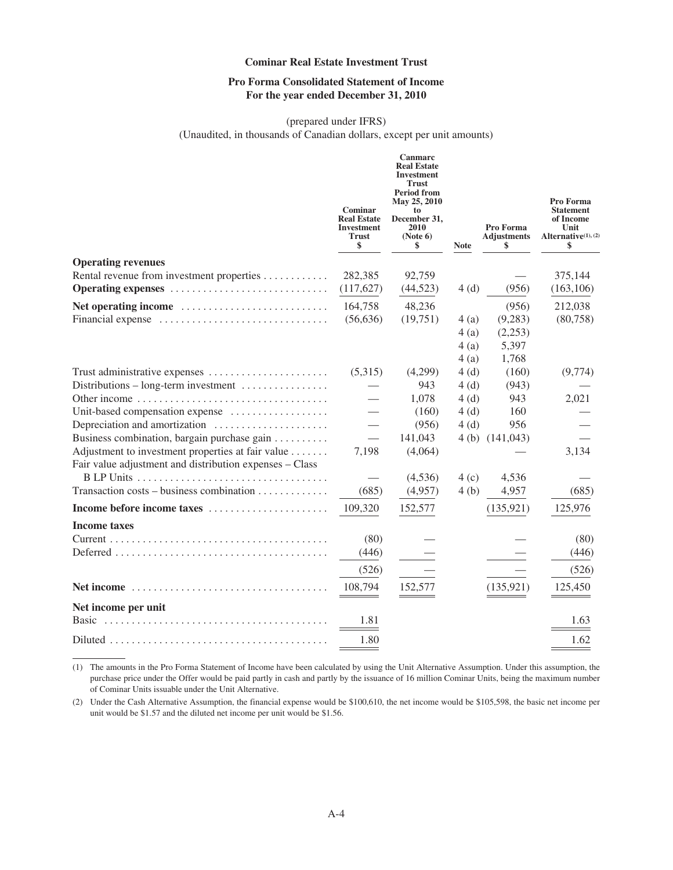# **Pro Forma Consolidated Statement of Income For the year ended December 31, 2010**

# (prepared under IFRS)

(Unaudited, in thousands of Canadian dollars, except per unit amounts)

|                                                                                                                                                             | Cominar<br><b>Real Estate</b><br><b>Investment</b><br><b>Trust</b><br>\$ | Canmarc<br><b>Real Estate</b><br><b>Investment</b><br><b>Trust</b><br><b>Period from</b><br>May 25, 2010<br>to<br>December 31,<br>2010<br>(Note 6)<br>\$ | <b>Note</b>                   | Pro Forma<br><b>Adjustments</b><br>\$          | Pro Forma<br><b>Statement</b><br>of Income<br>Unit<br>Alternative $(1)$ , $(2)$<br>\$ |
|-------------------------------------------------------------------------------------------------------------------------------------------------------------|--------------------------------------------------------------------------|----------------------------------------------------------------------------------------------------------------------------------------------------------|-------------------------------|------------------------------------------------|---------------------------------------------------------------------------------------|
| <b>Operating revenues</b>                                                                                                                                   |                                                                          |                                                                                                                                                          |                               |                                                |                                                                                       |
| Rental revenue from investment properties<br>Operating expenses                                                                                             | 282,385<br>(117,627)                                                     | 92,759<br>(44,523)                                                                                                                                       | 4(d)                          | (956)                                          | 375,144<br>(163, 106)                                                                 |
| Financial expense                                                                                                                                           | 164,758<br>(56, 636)                                                     | 48,236<br>(19,751)                                                                                                                                       | 4 (a)<br>4(a)<br>4(a)<br>4(a) | (956)<br>(9, 283)<br>(2,253)<br>5,397<br>1,768 | 212,038<br>(80,758)                                                                   |
| Trust administrative expenses<br>Distributions – long-term investment $\dots\dots\dots\dots\dots$                                                           | (5,315)                                                                  | (4,299)<br>943<br>1,078                                                                                                                                  | 4(d)<br>4(d)<br>4(d)          | (160)<br>(943)<br>943                          | (9,774)<br>2,021                                                                      |
| Unit-based compensation expense<br>Depreciation and amortization                                                                                            |                                                                          | (160)<br>(956)                                                                                                                                           | 4(d)<br>4(d)                  | 160<br>956                                     |                                                                                       |
| Business combination, bargain purchase gain<br>Adjustment to investment properties at fair value<br>Fair value adjustment and distribution expenses - Class | 7,198                                                                    | 141,043<br>(4,064)                                                                                                                                       |                               | 4(b) $(141,043)$                               | 3,134                                                                                 |
| Transaction costs – business combination $\dots\dots\dots\dots$                                                                                             | (685)                                                                    | (4,536)<br>(4,957)                                                                                                                                       | 4(c)<br>4(b)                  | 4,536<br>4,957                                 | (685)                                                                                 |
| Income before income taxes                                                                                                                                  | 109,320                                                                  | 152,577                                                                                                                                                  |                               | (135, 921)                                     | 125,976                                                                               |
| Income taxes                                                                                                                                                | (80)                                                                     |                                                                                                                                                          |                               |                                                | (80)                                                                                  |
| $Deferred \dots \dots \dots \dots \dots \dots \dots \dots \dots \dots \dots \dots \dots \dots \dots$                                                        | (446)<br>(526)                                                           |                                                                                                                                                          |                               |                                                | (446)<br>(526)                                                                        |
|                                                                                                                                                             | 108,794                                                                  | 152,577                                                                                                                                                  |                               | (135, 921)                                     | 125,450                                                                               |
| Net income per unit                                                                                                                                         |                                                                          |                                                                                                                                                          |                               |                                                |                                                                                       |
|                                                                                                                                                             | 1.81                                                                     |                                                                                                                                                          |                               |                                                | 1.63                                                                                  |
| $Diluted \dots \dots \dots \dots \dots \dots \dots \dots \dots \dots \dots \dots \dots$                                                                     | 1.80                                                                     |                                                                                                                                                          |                               |                                                | 1.62                                                                                  |

(1) The amounts in the Pro Forma Statement of Income have been calculated by using the Unit Alternative Assumption. Under this assumption, the purchase price under the Offer would be paid partly in cash and partly by the issuance of 16 million Cominar Units, being the maximum number of Cominar Units issuable under the Unit Alternative.

(2) Under the Cash Alternative Assumption, the financial expense would be \$100,610, the net income would be \$105,598, the basic net income per unit would be \$1.57 and the diluted net income per unit would be \$1.56.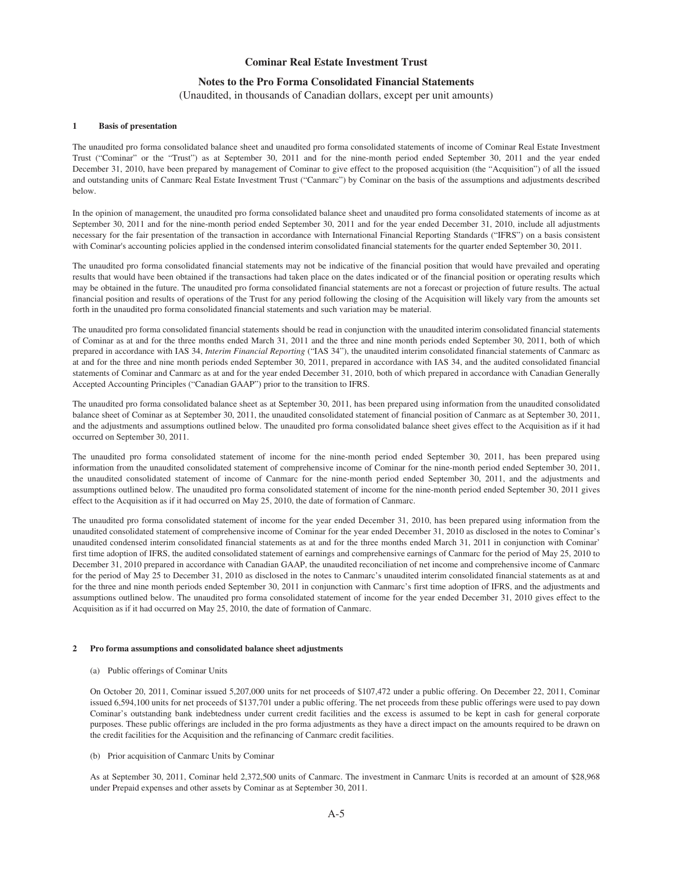# **Notes to the Pro Forma Consolidated Financial Statements**

(Unaudited, in thousands of Canadian dollars, except per unit amounts)

#### **1 Basis of presentation**

The unaudited pro forma consolidated balance sheet and unaudited pro forma consolidated statements of income of Cominar Real Estate Investment Trust ("Cominar" or the "Trust") as at September 30, 2011 and for the nine-month period ended September 30, 2011 and the year ended December 31, 2010, have been prepared by management of Cominar to give effect to the proposed acquisition (the "Acquisition") of all the issued and outstanding units of Canmarc Real Estate Investment Trust ("Canmarc") by Cominar on the basis of the assumptions and adjustments described below.

In the opinion of management, the unaudited pro forma consolidated balance sheet and unaudited pro forma consolidated statements of income as at September 30, 2011 and for the nine-month period ended September 30, 2011 and for the year ended December 31, 2010, include all adjustments necessary for the fair presentation of the transaction in accordance with International Financial Reporting Standards ("IFRS") on a basis consistent with Cominar's accounting policies applied in the condensed interim consolidated financial statements for the quarter ended September 30, 2011.

The unaudited pro forma consolidated financial statements may not be indicative of the financial position that would have prevailed and operating results that would have been obtained if the transactions had taken place on the dates indicated or of the financial position or operating results which may be obtained in the future. The unaudited pro forma consolidated financial statements are not a forecast or projection of future results. The actual financial position and results of operations of the Trust for any period following the closing of the Acquisition will likely vary from the amounts set forth in the unaudited pro forma consolidated financial statements and such variation may be material.

The unaudited pro forma consolidated financial statements should be read in conjunction with the unaudited interim consolidated financial statements of Cominar as at and for the three months ended March 31, 2011 and the three and nine month periods ended September 30, 2011, both of which prepared in accordance with IAS 34, *Interim Financial Reporting* ("IAS 34"), the unaudited interim consolidated financial statements of Canmarc as at and for the three and nine month periods ended September 30, 2011, prepared in accordance with IAS 34, and the audited consolidated financial statements of Cominar and Canmarc as at and for the year ended December 31, 2010, both of which prepared in accordance with Canadian Generally Accepted Accounting Principles ("Canadian GAAP") prior to the transition to IFRS.

The unaudited pro forma consolidated balance sheet as at September 30, 2011, has been prepared using information from the unaudited consolidated balance sheet of Cominar as at September 30, 2011, the unaudited consolidated statement of financial position of Canmarc as at September 30, 2011, and the adjustments and assumptions outlined below. The unaudited pro forma consolidated balance sheet gives effect to the Acquisition as if it had occurred on September 30, 2011.

The unaudited pro forma consolidated statement of income for the nine-month period ended September 30, 2011, has been prepared using information from the unaudited consolidated statement of comprehensive income of Cominar for the nine-month period ended September 30, 2011, the unaudited consolidated statement of income of Canmarc for the nine-month period ended September 30, 2011, and the adjustments and assumptions outlined below. The unaudited pro forma consolidated statement of income for the nine-month period ended September 30, 2011 gives effect to the Acquisition as if it had occurred on May 25, 2010, the date of formation of Canmarc.

The unaudited pro forma consolidated statement of income for the year ended December 31, 2010, has been prepared using information from the unaudited consolidated statement of comprehensive income of Cominar for the year ended December 31, 2010 as disclosed in the notes to Cominar's unaudited condensed interim consolidated financial statements as at and for the three months ended March 31, 2011 in conjunction with Cominar' first time adoption of IFRS, the audited consolidated statement of earnings and comprehensive earnings of Canmarc for the period of May 25, 2010 to December 31, 2010 prepared in accordance with Canadian GAAP, the unaudited reconciliation of net income and comprehensive income of Canmarc for the period of May 25 to December 31, 2010 as disclosed in the notes to Canmarc's unaudited interim consolidated financial statements as at and for the three and nine month periods ended September 30, 2011 in conjunction with Canmarc's first time adoption of IFRS, and the adjustments and assumptions outlined below. The unaudited pro forma consolidated statement of income for the year ended December 31, 2010 gives effect to the Acquisition as if it had occurred on May 25, 2010, the date of formation of Canmarc.

#### **2 Pro forma assumptions and consolidated balance sheet adjustments**

#### (a) Public offerings of Cominar Units

On October 20, 2011, Cominar issued 5,207,000 units for net proceeds of \$107,472 under a public offering. On December 22, 2011, Cominar issued 6,594,100 units for net proceeds of \$137,701 under a public offering. The net proceeds from these public offerings were used to pay down Cominar's outstanding bank indebtedness under current credit facilities and the excess is assumed to be kept in cash for general corporate purposes. These public offerings are included in the pro forma adjustments as they have a direct impact on the amounts required to be drawn on the credit facilities for the Acquisition and the refinancing of Canmarc credit facilities.

#### (b) Prior acquisition of Canmarc Units by Cominar

As at September 30, 2011, Cominar held 2,372,500 units of Canmarc. The investment in Canmarc Units is recorded at an amount of \$28,968 under Prepaid expenses and other assets by Cominar as at September 30, 2011.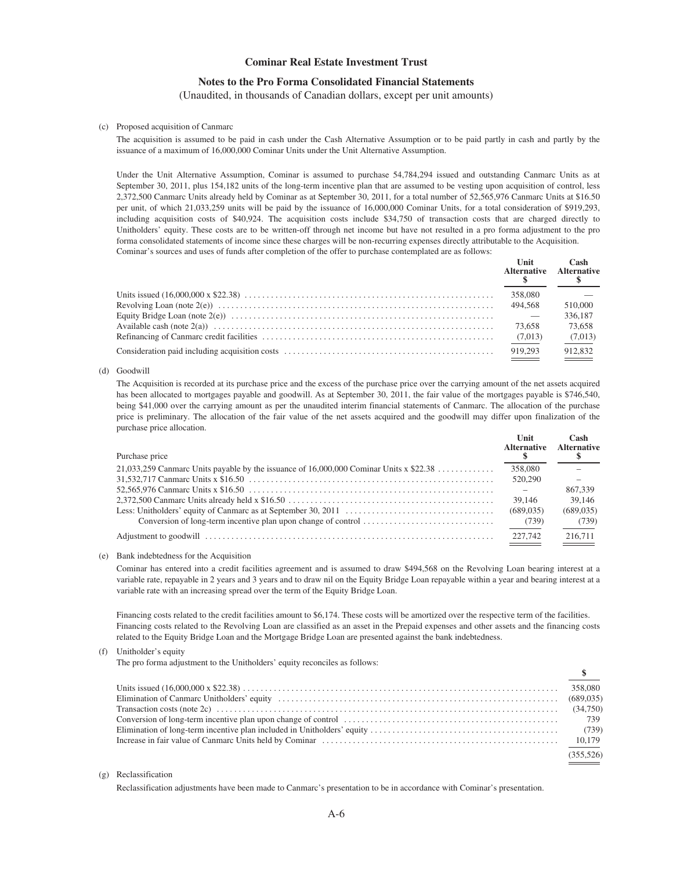# **Notes to the Pro Forma Consolidated Financial Statements**

(Unaudited, in thousands of Canadian dollars, except per unit amounts)

#### (c) Proposed acquisition of Canmarc

The acquisition is assumed to be paid in cash under the Cash Alternative Assumption or to be paid partly in cash and partly by the issuance of a maximum of 16,000,000 Cominar Units under the Unit Alternative Assumption.

Under the Unit Alternative Assumption, Cominar is assumed to purchase 54,784,294 issued and outstanding Canmarc Units as at September 30, 2011, plus 154,182 units of the long-term incentive plan that are assumed to be vesting upon acquisition of control, less 2,372,500 Canmarc Units already held by Cominar as at September 30, 2011, for a total number of 52,565,976 Canmarc Units at \$16.50 per unit, of which 21,033,259 units will be paid by the issuance of 16,000,000 Cominar Units, for a total consideration of \$919,293, including acquisition costs of \$40,924. The acquisition costs include \$34,750 of transaction costs that are charged directly to Unitholders' equity. These costs are to be written-off through net income but have not resulted in a pro forma adjustment to the pro forma consolidated statements of income since these charges will be non-recurring expenses directly attributable to the Acquisition. Cominar's sources and uses of funds after completion of the offer to purchase contemplated are as follows:

| Unit    | Cash<br>Alternative Alternative |
|---------|---------------------------------|
| 358,080 |                                 |
| 494.568 | 510,000                         |
|         | 336,187                         |
| 73,658  | 73.658                          |
| (7,013) | (7,013)                         |
| 919.293 | 912.832                         |

#### (d) Goodwill

The Acquisition is recorded at its purchase price and the excess of the purchase price over the carrying amount of the net assets acquired has been allocated to mortgages payable and goodwill. As at September 30, 2011, the fair value of the mortgages payable is \$746,540, being \$41,000 over the carrying amount as per the unaudited interim financial statements of Canmarc. The allocation of the purchase price is preliminary. The allocation of the fair value of the net assets acquired and the goodwill may differ upon finalization of the purchase price allocation.

| Purchase price                                                                           | Unit<br><b>Alternative</b> | Cash<br><b>Alternative</b> |
|------------------------------------------------------------------------------------------|----------------------------|----------------------------|
| 21,033,259 Canmarc Units payable by the issuance of $16,000,000$ Cominar Units x \$22.38 | 358,080                    |                            |
|                                                                                          | 520,290                    |                            |
|                                                                                          |                            | 867,339                    |
|                                                                                          | 39,146                     | 39,146                     |
|                                                                                          | (689, 035)                 | (689, 035)                 |
|                                                                                          | (739)                      | (739)                      |
|                                                                                          | 227,742                    | 216.711                    |

#### (e) Bank indebtedness for the Acquisition

Cominar has entered into a credit facilities agreement and is assumed to draw \$494,568 on the Revolving Loan bearing interest at a variable rate, repayable in 2 years and 3 years and to draw nil on the Equity Bridge Loan repayable within a year and bearing interest at a variable rate with an increasing spread over the term of the Equity Bridge Loan.

Financing costs related to the credit facilities amount to \$6,174. These costs will be amortized over the respective term of the facilities. Financing costs related to the Revolving Loan are classified as an asset in the Prepaid expenses and other assets and the financing costs related to the Equity Bridge Loan and the Mortgage Bridge Loan are presented against the bank indebtedness.

#### (f) Unitholder's equity

The pro forma adjustment to the Unitholders' equity reconciles as follows:

| $\frac{\ }{s}$ |
|----------------|
|                |
|                |
|                |
|                |
|                |
|                |
| (355.526)      |

#### (g) Reclassification

Reclassification adjustments have been made to Canmarc's presentation to be in accordance with Cominar's presentation.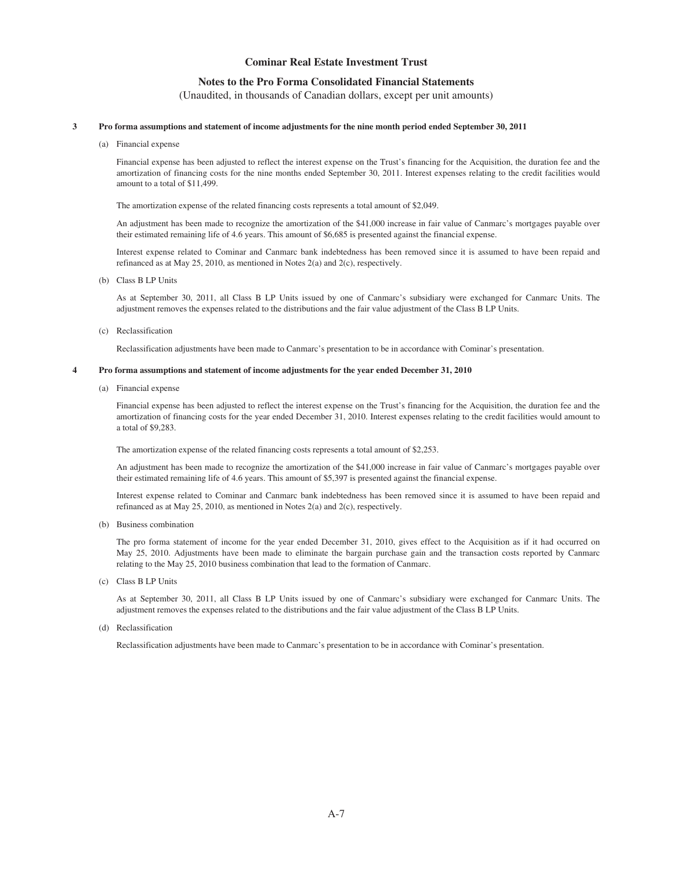# **Notes to the Pro Forma Consolidated Financial Statements**

(Unaudited, in thousands of Canadian dollars, except per unit amounts)

#### **3 Pro forma assumptions and statement of income adjustments for the nine month period ended September 30, 2011**

(a) Financial expense

Financial expense has been adjusted to reflect the interest expense on the Trust's financing for the Acquisition, the duration fee and the amortization of financing costs for the nine months ended September 30, 2011. Interest expenses relating to the credit facilities would amount to a total of \$11,499.

The amortization expense of the related financing costs represents a total amount of \$2,049.

An adjustment has been made to recognize the amortization of the \$41,000 increase in fair value of Canmarc's mortgages payable over their estimated remaining life of 4.6 years. This amount of \$6,685 is presented against the financial expense.

Interest expense related to Cominar and Canmarc bank indebtedness has been removed since it is assumed to have been repaid and refinanced as at May 25, 2010, as mentioned in Notes 2(a) and 2(c), respectively.

(b) Class B LP Units

As at September 30, 2011, all Class B LP Units issued by one of Canmarc's subsidiary were exchanged for Canmarc Units. The adjustment removes the expenses related to the distributions and the fair value adjustment of the Class B LP Units.

(c) Reclassification

Reclassification adjustments have been made to Canmarc's presentation to be in accordance with Cominar's presentation.

#### **4 Pro forma assumptions and statement of income adjustments for the year ended December 31, 2010**

(a) Financial expense

Financial expense has been adjusted to reflect the interest expense on the Trust's financing for the Acquisition, the duration fee and the amortization of financing costs for the year ended December 31, 2010. Interest expenses relating to the credit facilities would amount to a total of \$9,283.

The amortization expense of the related financing costs represents a total amount of \$2,253.

An adjustment has been made to recognize the amortization of the \$41,000 increase in fair value of Canmarc's mortgages payable over their estimated remaining life of 4.6 years. This amount of \$5,397 is presented against the financial expense.

Interest expense related to Cominar and Canmarc bank indebtedness has been removed since it is assumed to have been repaid and refinanced as at May 25, 2010, as mentioned in Notes 2(a) and 2(c), respectively.

(b) Business combination

The pro forma statement of income for the year ended December 31, 2010, gives effect to the Acquisition as if it had occurred on May 25, 2010. Adjustments have been made to eliminate the bargain purchase gain and the transaction costs reported by Canmarc relating to the May 25, 2010 business combination that lead to the formation of Canmarc.

(c) Class B LP Units

As at September 30, 2011, all Class B LP Units issued by one of Canmarc's subsidiary were exchanged for Canmarc Units. The adjustment removes the expenses related to the distributions and the fair value adjustment of the Class B LP Units.

(d) Reclassification

Reclassification adjustments have been made to Canmarc's presentation to be in accordance with Cominar's presentation.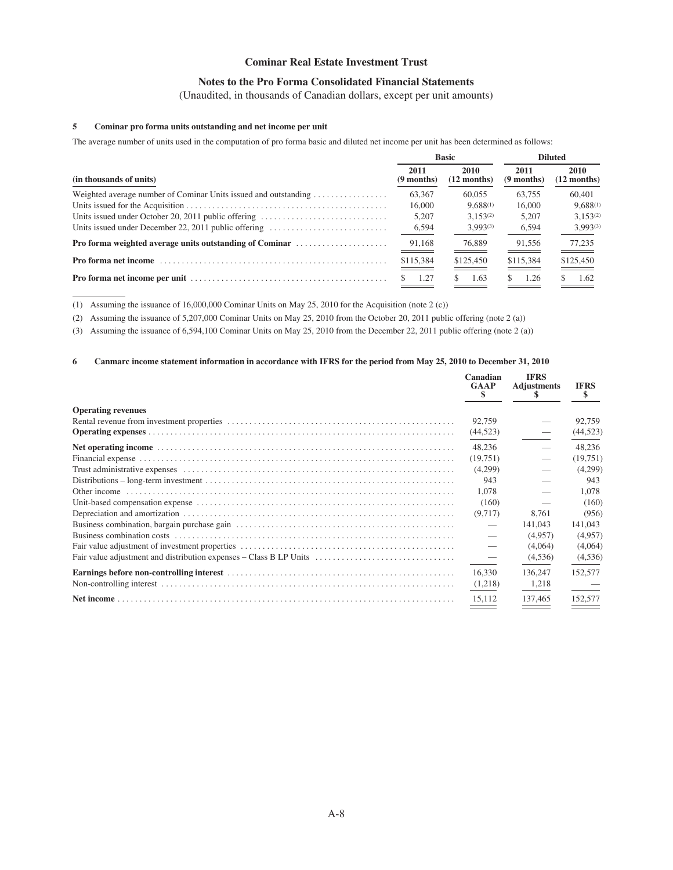# **Notes to the Pro Forma Consolidated Financial Statements**

(Unaudited, in thousands of Canadian dollars, except per unit amounts)

# **5 Cominar pro forma units outstanding and net income per unit**

The average number of units used in the computation of pro forma basic and diluted net income per unit has been determined as follows:

|                                                                                             |                      | <b>Basic</b>          | <b>Diluted</b>       |                              |  |
|---------------------------------------------------------------------------------------------|----------------------|-----------------------|----------------------|------------------------------|--|
| (in thousands of units)                                                                     | 2011<br>$(9$ months) | 2010<br>$(12$ months) | 2011<br>$(9$ months) | <b>2010</b><br>$(12$ months) |  |
| Weighted average number of Cominar Units issued and outstanding $\dots\dots\dots\dots\dots$ | 63,367               | 60,055                | 63.755               | 60,401                       |  |
|                                                                                             | 16,000               | $9.688^{(1)}$         | 16,000               | $9,688^{(1)}$                |  |
| Units issued under October 20, 2011 public offering                                         | 5.207                | $3.153^{(2)}$         | 5.207                | $3.153^{(2)}$                |  |
| Units issued under December 22, 2011 public offering                                        | 6,594                | $3.993^{(3)}$         | 6,594                | $3.993^{(3)}$                |  |
| <b>Pro forma weighted average units outstanding of Cominar</b>                              | 91,168               | 76,889                | 91.556               | 77,235<br>_____              |  |
|                                                                                             | \$115,384            | \$125,450             | \$115,384            | \$125,450                    |  |
|                                                                                             | 1.27                 | 1.63<br>S.            | 1.26                 | 1.62                         |  |

(1) Assuming the issuance of 16,000,000 Cominar Units on May 25, 2010 for the Acquisition (note 2 (c))

(2) Assuming the issuance of 5,207,000 Cominar Units on May 25, 2010 from the October 20, 2011 public offering (note 2 (a))

(3) Assuming the issuance of 6,594,100 Cominar Units on May 25, 2010 from the December 22, 2011 public offering (note 2 (a))

# **6 Canmarc income statement information in accordance with IFRS for the period from May 25, 2010 to December 31, 2010**

|                                                                    | Canadian<br><b>GAAP</b><br>S | <b>IFRS</b><br><b>Adjustments</b> | <b>IFRS</b><br>S. |
|--------------------------------------------------------------------|------------------------------|-----------------------------------|-------------------|
| <b>Operating revenues</b>                                          |                              |                                   |                   |
|                                                                    | 92,759                       |                                   | 92,759            |
|                                                                    | (44, 523)                    |                                   | (44, 523)         |
|                                                                    | 48.236                       |                                   | 48.236            |
|                                                                    | (19,751)                     |                                   | (19,751)          |
|                                                                    | (4,299)                      |                                   | (4,299)           |
|                                                                    | 943                          |                                   | 943               |
|                                                                    | 1,078                        |                                   | 1,078             |
|                                                                    | (160)                        |                                   | (160)             |
|                                                                    | (9,717)                      | 8.761                             | (956)             |
|                                                                    |                              | 141,043                           | 141,043           |
|                                                                    |                              | (4,957)                           | (4,957)           |
|                                                                    |                              | (4,064)                           | (4,064)           |
| Fair value adjustment and distribution expenses – Class B LP Units |                              | (4,536)                           | (4,536)           |
|                                                                    | 16.330                       | 136,247                           | 152,577           |
|                                                                    | (1,218)                      | 1,218                             |                   |
|                                                                    | 15.112                       | 137,465                           | 152,577           |